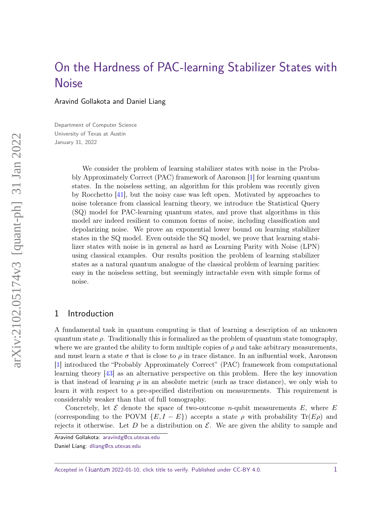# <span id="page-0-0"></span>[On the Hardness of PAC-learning Stabilizer States with](https://quantum-journal.org/?s=On%20the%20Hardness%20of%20PAC-learning%20Stabilizer%20States%20with%20Noise&reason=title-click) **[Noise](https://quantum-journal.org/?s=On%20the%20Hardness%20of%20PAC-learning%20Stabilizer%20States%20with%20Noise&reason=title-click)**

Aravind Gollakota and Daniel Liang

Department of Computer Science University of Texas at Austin January 31, 2022

> We consider the problem of learning stabilizer states with noise in the Probably Approximately Correct (PAC) framework of Aaronson [\[1\]](#page-21-0) for learning quantum states. In the noiseless setting, an algorithm for this problem was recently given by Rocchetto [\[41\]](#page-24-0), but the noisy case was left open. Motivated by approaches to noise tolerance from classical learning theory, we introduce the Statistical Query (SQ) model for PAC-learning quantum states, and prove that algorithms in this model are indeed resilient to common forms of noise, including classification and depolarizing noise. We prove an exponential lower bound on learning stabilizer states in the SQ model. Even outside the SQ model, we prove that learning stabilizer states with noise is in general as hard as Learning Parity with Noise (LPN) using classical examples. Our results position the problem of learning stabilizer states as a natural quantum analogue of the classical problem of learning parities: easy in the noiseless setting, but seemingly intractable even with simple forms of noise.

# 1 Introduction

A fundamental task in quantum computing is that of learning a description of an unknown quantum state  $\rho$ . Traditionally this is formalized as the problem of quantum state tomography, where we are granted the ability to form multiple copies of  $\rho$  and take arbitrary measurements, and must learn a state  $\sigma$  that is close to  $\rho$  in trace distance. In an influential work, Aaronson [\[1\]](#page-21-0) introduced the "Probably Approximately Correct" (PAC) framework from computational learning theory [\[43\]](#page-24-1) as an alternative perspective on this problem. Here the key innovation is that instead of learning  $\rho$  in an absolute metric (such as trace distance), we only wish to learn it with respect to a pre-specified distribution on measurements. This requirement is considerably weaker than that of full tomography.

Concretely, let  $\mathcal E$  denote the space of two-outcome *n*-qubit measurements  $E$ , where  $E$ (corresponding to the POVM  ${E, I - E}$ ) accepts a state  $\rho$  with probability  $\text{Tr}(E\rho)$  and rejects it otherwise. Let  $D$  be a distribution on  $\mathcal{E}$ . We are given the ability to sample and

Accepted in  $\langle \rangle$ uantum 2022-01-10, click title to verify. Published under CC-BY 4.0. 1

Aravind Gollakota: [aravindg@cs.utexas.edu](mailto:aravindg@cs.utexas.edu)

Daniel Liang: [dliang@cs.utexas.edu](mailto:dliang@cs.utexas.edu)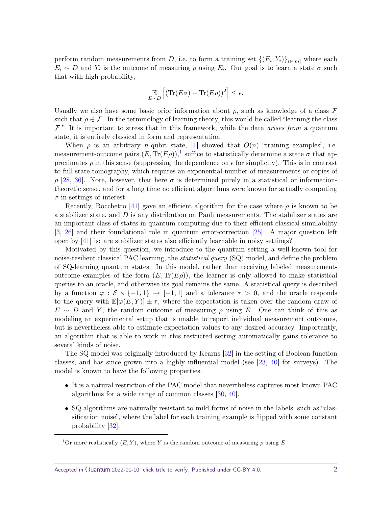<span id="page-1-1"></span>perform random measurements from *D*, i.e. to form a training set  $\{(E_i, Y_i)\}_{i \in [m]}$  where each  $E_i \sim D$  and  $Y_i$  is the outcome of measuring  $\rho$  using  $E_i$ . Our goal is to learn a state  $\sigma$  such that with high probability,

$$
\mathop{\mathbb{E}}_{E \sim D} \left[ (\text{Tr}(E\sigma) - \text{Tr}(E\rho))^2 \right] \le \epsilon.
$$

Usually we also have some basic prior information about  $\rho$ , such as knowledge of a class  $\mathcal F$ such that  $\rho \in \mathcal{F}$ . In the terminology of learning theory, this would be called "learning the class"  $\mathcal{F}$ ." It is important to stress that in this framework, while the data *arises from* a quantum state, it is entirely classical in form and representation.

When  $\rho$  is an arbitrary *n*-qubit state, [\[1\]](#page-21-0) showed that  $O(n)$  "training examples", i.e. measurement-outcome pairs  $(E, \text{Tr}(E\rho))$ ,<sup>[1](#page-1-0)</sup> suffice to statistically determine a state  $\sigma$  that approximates  $\rho$  in this sense (suppressing the dependence on  $\epsilon$  for simplicity). This is in contrast to full state tomography, which requires an exponential number of measurements or copies of *ρ* [\[28,](#page-23-0) [36\]](#page-23-1). Note, however, that here *σ* is determined purely in a statistical or informationtheoretic sense, and for a long time no efficient algorithms were known for actually computing  $\sigma$  in settings of interest.

Recently, Rocchetto [\[41\]](#page-24-0) gave an efficient algorithm for the case where  $\rho$  is known to be a stabilizer state, and *D* is any distribution on Pauli measurements. The stabilizer states are an important class of states in quantum computing due to their efficient classical simulability [\[3,](#page-21-1) [26\]](#page-23-2) and their foundational role in quantum error-correction [\[25\]](#page-23-3). A major question left open by [\[41\]](#page-24-0) is: are stabilizer states also efficiently learnable in noisy settings?

Motivated by this question, we introduce to the quantum setting a well-known tool for noise-resilient classical PAC learning, the *statistical query* (SQ) model, and define the problem of SQ-learning quantum states. In this model, rather than receiving labeled measurementoutcome examples of the form  $(E, \text{Tr}(E\rho))$ , the learner is only allowed to make statistical queries to an oracle, and otherwise its goal remains the same. A statistical query is described by a function  $\varphi : \mathcal{E} \times \{-1,1\} \to [-1,1]$  and a tolerance  $\tau > 0$ , and the oracle responds to the query with  $\mathbb{E}[\varphi(E, Y)] \pm \tau$ , where the expectation is taken over the random draw of  $E \sim D$  and *Y*, the random outcome of measuring  $\rho$  using *E*. One can think of this as modeling an experimental setup that is unable to report individual measurement outcomes, but is nevertheless able to estimate expectation values to any desired accuracy. Importantly, an algorithm that is able to work in this restricted setting automatically gains tolerance to several kinds of noise.

The SQ model was originally introduced by Kearns [\[32\]](#page-23-4) in the setting of Boolean function classes, and has since grown into a highly influential model (see [\[23,](#page-23-5) [40\]](#page-24-2) for surveys). The model is known to have the following properties:

- It is a natural restriction of the PAC model that nevertheless captures most known PAC algorithms for a wide range of common classes [\[30,](#page-23-6) [40\]](#page-24-2).
- SQ algorithms are naturally resistant to mild forms of noise in the labels, such as "classification noise", where the label for each training example is flipped with some constant probability [\[32\]](#page-23-4).

<span id="page-1-0"></span><sup>&</sup>lt;sup>1</sup>Or more realistically  $(E, Y)$ , where *Y* is the random outcome of measuring  $\rho$  using *E*.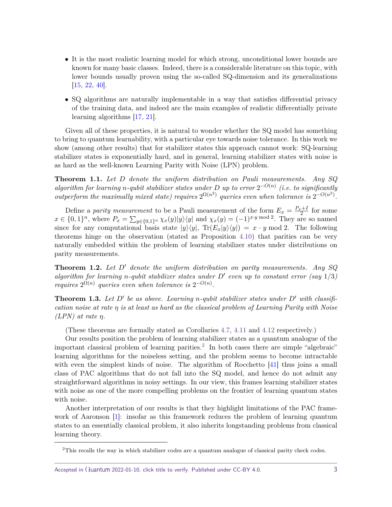- <span id="page-2-1"></span>• It is the most realistic learning model for which strong, unconditional lower bounds are known for many basic classes. Indeed, there is a considerable literature on this topic, with lower bounds usually proven using the so-called SQ-dimension and its generalizations [\[15,](#page-22-0) [22,](#page-23-7) [40\]](#page-24-2).
- SQ algorithms are naturally implementable in a way that satisfies differential privacy of the training data, and indeed are the main examples of realistic differentially private learning algorithms [\[17,](#page-22-1) [21\]](#page-23-8).

Given all of these properties, it is natural to wonder whether the SQ model has something to bring to quantum learnability, with a particular eye towards noise tolerance. In this work we show (among other results) that for stabilizer states this approach cannot work: SQ-learning stabilizer states is exponentially hard, and in general, learning stabilizer states with noise is as hard as the well-known Learning Parity with Noise (LPN) problem.

**Theorem 1.1.** *Let D denote the uniform distribution on Pauli measurements. Any SQ*  $a$ *lgorithm for learning n-qubit stabilizer states under D up to error*  $2^{-O(n)}$  (*i.e. to significantly outperform the maximally mixed state) requires*  $2^{\Omega(n^2)}$  queries even when tolerance is  $2^{-O(n^2)}$ .

Define a parity measurement to be a Pauli measurement of the form  $E_x = \frac{P_x + I}{2}$  for some  $x \in \{0,1\}^n$ , where  $P_x = \sum_{y \in \{0,1\}^n} \chi_x(y)|y\rangle\langle y|$  and  $\chi_x(y) = (-1)^{x \cdot y \mod 2}$ . They are so named since for any computational basis state  $|y\rangle\langle y|$ ,  $Tr(E_x|y\rangle\langle y|) = x \cdot y \mod 2$ . The following theorems hinge on the observation (stated as Proposition [4.10\)](#page-13-0) that parities can be very naturally embedded within the problem of learning stabilizer states under distributions on parity measurements.

**Theorem 1.2.** Let D' denote the uniform distribution on parity measurements. Any SQ *algorithm for learning n-qubit stabilizer states under*  $D'$  *even up to constant error (say*  $1/3$ ) *requires*  $2^{\Omega(n)}$  *queries even when tolerance is*  $2^{-O(n)}$ *.* 

**Theorem 1.3.** Let  $D'$  be as above. Learning *n*-qubit stabilizer states under  $D'$  with classifi*cation noise at rate η is at least as hard as the classical problem of Learning Parity with Noise (LPN) at rate η.*

(These theorems are formally stated as Corollaries [4.7,](#page-12-0) [4.11](#page-14-0) and [4.12](#page-14-1) respectively.)

Our results position the problem of learning stabilizer states as a quantum analogue of the important classical problem of learning parities.<sup>[2](#page-2-0)</sup> In both cases there are simple "algebraic" learning algorithms for the noiseless setting, and the problem seems to become intractable with even the simplest kinds of noise. The algorithm of Rocchetto [\[41\]](#page-24-0) thus joins a small class of PAC algorithms that do not fall into the SQ model, and hence do not admit any straightforward algorithms in noisy settings. In our view, this frames learning stabilizer states with noise as one of the more compelling problems on the frontier of learning quantum states with noise.

Another interpretation of our results is that they highlight limitations of the PAC framework of Aaronson [\[1\]](#page-21-0): insofar as this framework reduces the problem of learning quantum states to an essentially classical problem, it also inherits longstanding problems from classical learning theory.

<span id="page-2-0"></span><sup>2</sup>This recalls the way in which stabilizer codes are a quantum analogue of classical parity check codes.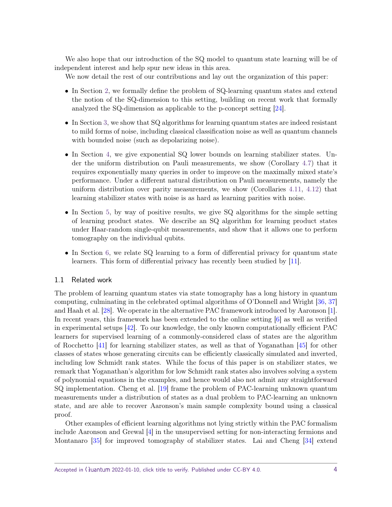<span id="page-3-0"></span>We also hope that our introduction of the SQ model to quantum state learning will be of independent interest and help spur new ideas in this area.

We now detail the rest of our contributions and lay out the organization of this paper:

- In Section [2,](#page-4-0) we formally define the problem of SQ-learning quantum states and extend the notion of the SQ-dimension to this setting, building on recent work that formally analyzed the SQ-dimension as applicable to the p-concept setting [\[24\]](#page-23-9).
- In Section [3,](#page-7-0) we show that SQ algorithms for learning quantum states are indeed resistant to mild forms of noise, including classical classification noise as well as quantum channels with bounded noise (such as depolarizing noise).
- In Section [4,](#page-10-0) we give exponential SQ lower bounds on learning stabilizer states. Under the uniform distribution on Pauli measurements, we show (Corollary [4.7\)](#page-12-0) that it requires exponentially many queries in order to improve on the maximally mixed state's performance. Under a different natural distribution on Pauli measurements, namely the uniform distribution over parity measurements, we show (Corollaries [4.11,](#page-14-0) [4.12\)](#page-14-1) that learning stabilizer states with noise is as hard as learning parities with noise.
- In Section [5,](#page-14-2) by way of positive results, we give SQ algorithms for the simple setting of learning product states. We describe an SQ algorithm for learning product states under Haar-random single-qubit measurements, and show that it allows one to perform tomography on the individual qubits.
- In Section [6,](#page-18-0) we relate SQ learning to a form of differential privacy for quantum state learners. This form of differential privacy has recently been studied by [\[11\]](#page-22-2).

## 1.1 Related work

The problem of learning quantum states via state tomography has a long history in quantum computing, culminating in the celebrated optimal algorithms of O'Donnell and Wright [\[36,](#page-23-1) [37\]](#page-23-10) and Haah et al. [\[28\]](#page-23-0). We operate in the alternative PAC framework introduced by Aaronson [\[1\]](#page-21-0). In recent years, this framework has been extended to the online setting  $|6|$  as well as verified in experimental setups [\[42\]](#page-24-3). To our knowledge, the only known computationally efficient PAC learners for supervised learning of a commonly-considered class of states are the algorithm of Rocchetto [\[41\]](#page-24-0) for learning stabilizer states, as well as that of Yoganathan [\[45\]](#page-24-4) for other classes of states whose generating circuits can be efficiently classically simulated and inverted, including low Schmidt rank states. While the focus of this paper is on stabilizer states, we remark that Yoganathan's algorithm for low Schmidt rank states also involves solving a system of polynomial equations in the examples, and hence would also not admit any straightforward SQ implementation. Cheng et al. [\[19\]](#page-22-4) frame the problem of PAC-learning unknown quantum measurements under a distribution of states as a dual problem to PAC-learning an unknown state, and are able to recover Aaronson's main sample complexity bound using a classical proof.

Other examples of efficient learning algorithms not lying strictly within the PAC formalism include Aaronson and Grewal [\[4\]](#page-22-5) in the unsupervised setting for non-interacting fermions and Montanaro [\[35\]](#page-23-11) for improved tomography of stabilizer states. Lai and Cheng [\[34\]](#page-23-12) extend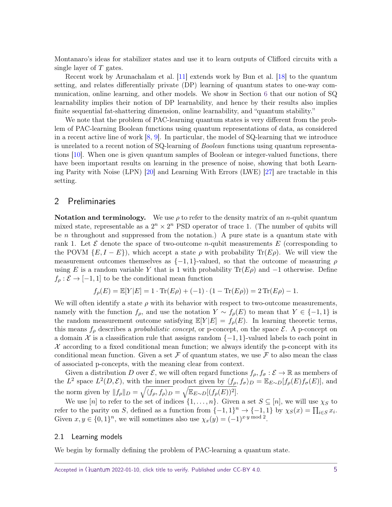<span id="page-4-1"></span>Montanaro's ideas for stabilizer states and use it to learn outputs of Clifford circuits with a single layer of *T* gates.

Recent work by Arunachalam et al. [\[11\]](#page-22-2) extends work by Bun et al. [\[18\]](#page-22-6) to the quantum setting, and relates differentially private (DP) learning of quantum states to one-way communication, online learning, and other models. We show in Section [6](#page-18-0) that our notion of SQ learnability implies their notion of DP learnability, and hence by their results also implies finite sequential fat-shattering dimension, online learnability, and "quantum stability."

We note that the problem of PAC-learning quantum states is very different from the problem of PAC-learning Boolean functions using quantum representations of data, as considered in a recent active line of work  $[8, 9]$  $[8, 9]$  $[8, 9]$ . In particular, the model of SQ-learning that we introduce is unrelated to a recent notion of SQ-learning of Boolean functions using quantum representations [\[10\]](#page-22-9). When one is given quantum samples of Boolean or integer-valued functions, there have been important results on learning in the presence of noise, showing that both Learning Parity with Noise (LPN) [\[20\]](#page-22-10) and Learning With Errors (LWE) [\[27\]](#page-23-13) are tractable in this setting.

# <span id="page-4-0"></span>2 Preliminaries

**Notation and terminology.** We use  $\rho$  to refer to the density matrix of an *n*-qubit quantum mixed state, representable as a  $2^n \times 2^n$  PSD operator of trace 1. (The number of qubits will be *n* throughout and suppressed from the notation.) A pure state is a quantum state with rank 1. Let  $\mathcal E$  denote the space of two-outcome *n*-qubit measurements  $E$  (corresponding to the POVM  ${E, I - E}$ , which accept a state  $\rho$  with probability  $Tr(E\rho)$ . We will view the measurement outcomes themselves as  $\{-1, 1\}$ -valued, so that the outcome of measuring  $\rho$ using *E* is a random variable *Y* that is 1 with probability  $\text{Tr}(E\rho)$  and  $-1$  otherwise. Define  $f_{\rho} : \mathcal{E} \rightarrow [-1, 1]$  to be the conditional mean function

$$
f_{\rho}(E) = \mathbb{E}[Y|E] = 1 \cdot \text{Tr}(E\rho) + (-1) \cdot (1 - \text{Tr}(E\rho)) = 2 \text{Tr}(E\rho) - 1.
$$

We will often identify a state  $\rho$  with its behavior with respect to two-outcome measurements, namely with the function  $f_\rho$ , and use the notation  $Y \sim f_\rho(E)$  to mean that  $Y \in \{-1,1\}$  is the random measurement outcome satisfying  $\mathbb{E}[Y|E] = f_{\rho}(E)$ . In learning theoretic terms, this means  $f_\rho$  describes a *probabilistic concept*, or p-concept, on the space  $\mathcal{E}$ . A p-concept on a domain X is a classification rule that assigns random  $\{-1, 1\}$ -valued labels to each point in  $\mathcal X$  according to a fixed conditional mean function; we always identify the p-concept with its conditional mean function. Given a set  $\mathcal F$  of quantum states, we use  $\mathcal F$  to also mean the class of associated p-concepts, with the meaning clear from context.

Given a distribution *D* over  $\mathcal{E}$ , we will often regard functions  $f_{\rho}, f_{\sigma} : \mathcal{E} \to \mathbb{R}$  as members of the *L*<sup>2</sup> space  $L^2(D,\mathcal{E})$ , with the inner product given by  $\langle f_\rho, f_\sigma \rangle_D = \mathbb{E}_{E \sim D}[f_\rho(E)f_\sigma(E)]$ , and the norm given by  $|| f_{\rho} ||_{D} = \sqrt{\langle f_{\rho}, f_{\rho} \rangle_{D}} = \sqrt{\mathbb{E}_{E \sim D}[(f_{\rho}(E))^2]}$ .

We use  $[n]$  to refer to the set of indices  $\{1, \ldots, n\}$ . Given a set  $S \subseteq [n]$ , we will use  $\chi_S$  to refer to the parity on *S*, defined as a function from  $\{-1,1\}^n \to \{-1,1\}$  by  $\chi_S(x) = \prod_{i \in S} x_i$ . Given  $x, y \in \{0, 1\}^n$ , we will sometimes also use  $\chi_x(y) = (-1)^{x \cdot y \mod 2}$ .

## 2.1 Learning models

We begin by formally defining the problem of PAC-learning a quantum state.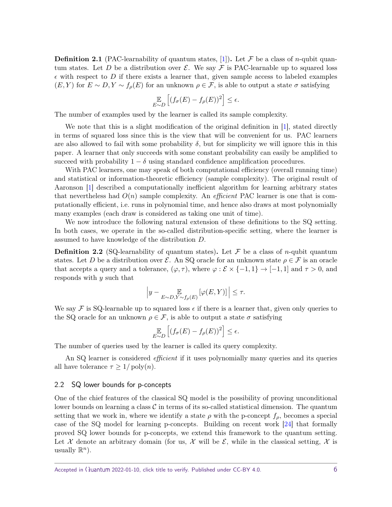<span id="page-5-0"></span>**Definition 2.1** (PAC-learnability of quantum states, [\[1\]](#page-21-0)). Let F be a class of *n*-qubit quantum states. Let *D* be a distribution over  $\mathcal{E}$ . We say  $\mathcal{F}$  is PAC-learnable up to squared loss  $\epsilon$  with respect to D if there exists a learner that, given sample access to labeled examples  $(E, Y)$  for  $E \sim D, Y \sim f_{\rho}(E)$  for an unknown  $\rho \in \mathcal{F}$ , is able to output a state  $\sigma$  satisfying

$$
\mathop{\mathbb{E}}_{E \sim D} \left[ (f_{\sigma}(E) - f_{\rho}(E))^2 \right] \le \epsilon.
$$

The number of examples used by the learner is called its sample complexity.

We note that this is a slight modification of the original definition in [\[1\]](#page-21-0), stated directly in terms of squared loss since this is the view that will be convenient for us. PAC learners are also allowed to fail with some probability  $\delta$ , but for simplicity we will ignore this in this paper. A learner that only succeeds with some constant probability can easily be amplified to succeed with probability  $1 - \delta$  using standard confidence amplification procedures.

With PAC learners, one may speak of both computational efficiency (overall running time) and statistical or information-theoretic efficiency (sample complexity). The original result of Aaronson [\[1\]](#page-21-0) described a computationally inefficient algorithm for learning arbitrary states that nevertheless had  $O(n)$  sample complexity. An *efficient* PAC learner is one that is computationally efficient, i.e. runs in polynomial time, and hence also draws at most polynomially many examples (each draw is considered as taking one unit of time).

We now introduce the following natural extension of these definitions to the SQ setting. In both cases, we operate in the so-called distribution-specific setting, where the learner is assumed to have knowledge of the distribution *D*.

**Definition 2.2** (SQ-learnability of quantum states). Let F be a class of *n*-qubit quantum states. Let *D* be a distribution over *E*. An SQ oracle for an unknown state  $\rho \in \mathcal{F}$  is an oracle that accepts a query and a tolerance,  $(\varphi, \tau)$ , where  $\varphi : \mathcal{E} \times \{-1, 1\} \to [-1, 1]$  and  $\tau > 0$ , and responds with *y* such that

$$
\left|y - \mathop{\mathbb{E}}_{E \sim D, Y \sim f_{\rho}(E)}[\varphi(E, Y)]\right| \le \tau.
$$

We say F is SQ-learnable up to squared loss  $\epsilon$  if there is a learner that, given only queries to the SQ oracle for an unknown  $\rho \in \mathcal{F}$ , is able to output a state  $\sigma$  satisfying

$$
\mathop{\mathbb{E}}_{E \sim D} \left[ (f_{\sigma}(E) - f_{\rho}(E))^2 \right] \le \epsilon.
$$

The number of queries used by the learner is called its query complexity.

An SQ learner is considered *efficient* if it uses polynomially many queries and its queries all have tolerance  $\tau \geq 1/\text{poly}(n)$ .

#### 2.2 SQ lower bounds for p-concepts

One of the chief features of the classical SQ model is the possibility of proving unconditional lower bounds on learning a class  $\mathcal C$  in terms of its so-called statistical dimension. The quantum setting that we work in, where we identify a state  $\rho$  with the p-concept  $f_{\rho}$ , becomes a special case of the SQ model for learning p-concepts. Building on recent work [\[24\]](#page-23-9) that formally proved SQ lower bounds for p-concepts, we extend this framework to the quantum setting. Let X denote an arbitrary domain (for us, X will be  $\mathcal{E}$ , while in the classical setting, X is usually  $\mathbb{R}^n$ ).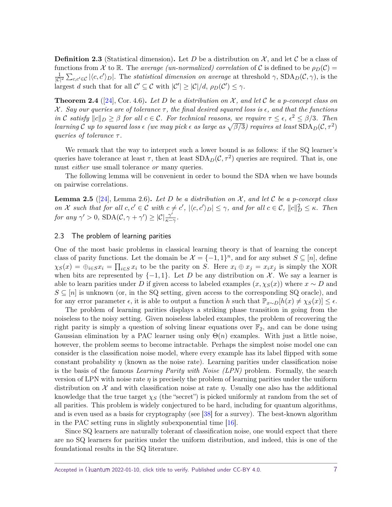<span id="page-6-3"></span>**Definition 2.3** (Statistical dimension). Let D be a distribution on  $\mathcal{X}$ , and let C be a class of functions from X to R. The *average (un-normalized) correlation* of C is defined to be  $\rho_D(\mathcal{C})$  $\frac{1}{|C|^2} \sum_{c,c'\in\mathcal{C}} |\langle c,c'\rangle_D|$ . The *statistical dimension on average* at threshold  $\gamma$ , SDA<sub>D</sub>(C,  $\gamma$ ), is the largest *d* such that for all  $C' \subseteq C$  with  $|C'| \ge |C|/d$ ,  $\rho_D(C') \le \gamma$ .

<span id="page-6-1"></span>**Theorem 2.4** ([\[24\]](#page-23-9), Cor. 4.6). Let D be a distribution on  $\mathcal{X}$ , and let C be a p-concept class on X *. Say our queries are of tolerance τ , the final desired squared loss is , and that the functions in* C satisfy  $||c||_D \ge \beta$  for all  $c \in \mathcal{C}$ . For technical reasons, we require  $\tau \le \epsilon$ ,  $\epsilon^2 \le \beta/3$ . Then *learning* C up to squared loss  $\epsilon$  (we may pick  $\epsilon$  as large as  $\sqrt{\beta/3}$ ) requires at least  $SDA_D(C, \tau^2)$ *queries of tolerance τ .*

We remark that the way to interpret such a lower bound is as follows: if the SQ learner's queries have tolerance at least  $\tau$ , then at least  $SDA_D(\mathcal{C}, \tau^2)$  queries are required. That is, one must *either* use small tolerance *or* many queries.

The following lemma will be convenient in order to bound the SDA when we have bounds on pairwise correlations.

<span id="page-6-0"></span>**Lemma 2.5** ([\[24\]](#page-23-9), Lemma 2.6). Let D be a distribution on  $X$ , and let C be a p-concept class *on X* such that for all  $c, c' \in \mathcal{C}$  with  $c \neq c'$ ,  $|\langle c, c' \rangle_D| \leq \gamma$ , and for all  $c \in \mathcal{C}$ ,  $||c||_D^2 \leq \kappa$ . Then *for any*  $\gamma' > 0$ ,  $SDA(C, \gamma + \gamma') \geq |C|\frac{\gamma'}{s-1}$  $\frac{\gamma}{\kappa-\gamma}$ .

## 2.3 The problem of learning parities

One of the most basic problems in classical learning theory is that of learning the concept class of parity functions. Let the domain be  $\mathcal{X} = \{-1,1\}^n$ , and for any subset  $S \subseteq [n]$ , define  $\chi_S(x) = \bigoplus_{i \in S} x_i = \prod_{i \in S} x_i$  to be the parity on S. Here  $x_i \oplus x_j = x_i x_j$  is simply the XOR when bits are represented by  $\{-1,1\}$ . Let *D* be any distribution on *X*. We say a learner is able to learn parities under *D* if given access to labeled examples  $(x, \chi_S(x))$  where  $x \sim D$  and  $S \subseteq [n]$  is unknown (or, in the SQ setting, given access to the corresponding SQ oracle), and for any error parameter  $\epsilon$ , it is able to output a function *h* such that  $\mathbb{P}_{x\sim D}[h(x) \neq \chi_S(x)] \leq \epsilon$ .

The problem of learning parities displays a striking phase transition in going from the noiseless to the noisy setting. Given noiseless labeled examples, the problem of recovering the right parity is simply a question of solving linear equations over  $\mathbb{F}_2$ , and can be done using Gaussian elimination by a PAC learner using only  $\Theta(n)$  examples. With just a little noise, however, the problem seems to become intractable. Perhaps the simplest noise model one can consider is the classification noise model, where every example has its label flipped with some constant probability  $\eta$  (known as the noise rate). Learning parities under classification noise is the basis of the famous Learning Parity with Noise (LPN) problem. Formally, the search version of LPN with noise rate  $\eta$  is precisely the problem of learning parities under the uniform distribution on X and with classification noise at rate *η*. Usually one also has the additional knowledge that the true target  $\chi_S$  (the "secret") is picked uniformly at random from the set of all parities. This problem is widely conjectured to be hard, including for quantum algorithms, and is even used as a basis for cryptography (see [\[38\]](#page-24-5) for a survey). The best-known algorithm in the PAC setting runs in slightly subexponential time [\[16\]](#page-22-11).

<span id="page-6-2"></span>Since SQ learners are naturally tolerant of classification noise, one would expect that there are no SQ learners for parities under the uniform distribution, and indeed, this is one of the foundational results in the SQ literature.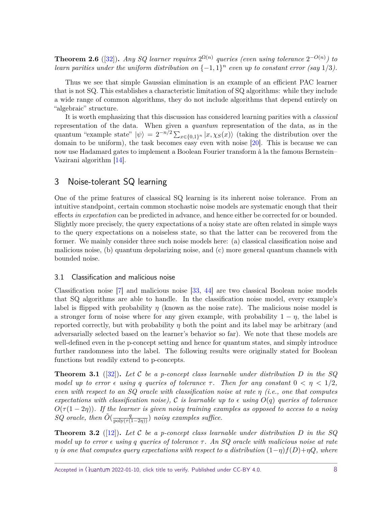<span id="page-7-1"></span>**Theorem 2.6** ([\[32\]](#page-23-4)). *Any SQ learner requires*  $2^{\Omega(n)}$  queries (even using tolerance  $2^{-O(n)}$ ) to *learn parities under the uniform distribution on*  $\{-1,1\}^n$  *even up to constant error (say* 1/3).

Thus we see that simple Gaussian elimination is an example of an efficient PAC learner that is not SQ. This establishes a characteristic limitation of SQ algorithms: while they include a wide range of common algorithms, they do not include algorithms that depend entirely on "algebraic" structure.

It is worth emphasizing that this discussion has considered learning parities with a classical representation of the data. When given a quantum representation of the data, as in the quantum "example state"  $|\psi\rangle = 2^{-n/2} \sum_{x \in \{0,1\}^n} |x, \chi_S(x)\rangle$  (taking the distribution over the domain to be uniform), the task becomes easy even with noise [\[20\]](#page-22-10). This is because we can now use Hadamard gates to implement a Boolean Fourier transform à la the famous Bernstein– Vazirani algorithm [\[14\]](#page-22-12).

# <span id="page-7-0"></span>3 Noise-tolerant SQ learning

One of the prime features of classical SQ learning is its inherent noise tolerance. From an intuitive standpoint, certain common stochastic noise models are systematic enough that their effects in expectation can be predicted in advance, and hence either be corrected for or bounded. Slightly more precisely, the query expectations of a noisy state are often related in simple ways to the query expectations on a noiseless state, so that the latter can be recovered from the former. We mainly consider three such noise models here: (a) classical classification noise and malicious noise, (b) quantum depolarizing noise, and (c) more general quantum channels with bounded noise.

## 3.1 Classification and malicious noise

Classification noise [\[7\]](#page-22-13) and malicious noise [\[33,](#page-23-14) [44\]](#page-24-6) are two classical Boolean noise models that SQ algorithms are able to handle. In the classification noise model, every example's label is flipped with probability  $\eta$  (known as the noise rate). The malicious noise model is a stronger form of noise where for any given example, with probability  $1 - \eta$ , the label is reported correctly, but with probability *η* both the point and its label may be arbitrary (and adversarially selected based on the learner's behavior so far). We note that these models are well-defined even in the p-concept setting and hence for quantum states, and simply introduce further randomness into the label. The following results were originally stated for Boolean functions but readily extend to p-concepts.

**Theorem 3.1** ([\[32\]](#page-23-4))**.** *Let* C *be a p-concept class learnable under distribution D in the SQ model up to error*  $\epsilon$  *using q queries of tolerance*  $\tau$ . Then for any constant  $0 < \eta < 1/2$ , *even with respect to an SQ oracle with classification noise at rate η (i.e., one that computes expectations with classification noise),* C *is learnable up to*  $\epsilon$  *using*  $O(q)$  *queries of tolerance*  $O(\tau(1-2\eta))$ . If the learner is given noisy training examples as opposed to access to a noisy *SQ* oracle, then  $\tilde{O}(\frac{q}{\text{poly}(\tau(1-2\eta))})$  noisy examples suffice.

**Theorem 3.2** ([\[12\]](#page-22-14))**.** *Let* C *be a p-concept class learnable under distribution D in the SQ model up to error using q queries of tolerance τ . An SQ oracle with malicious noise at rate η is one that computes query expectations with respect to a distribution*  $(1-\eta)f(D)+\eta Q$ *, where*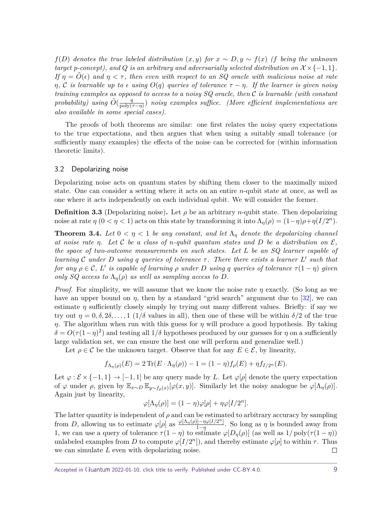<span id="page-8-0"></span> $f(D)$  *denotes the true labeled distribution*  $(x, y)$  *for*  $x \sim D, y \sim f(x)$  *(f being the unknown target p-concept), and*  $Q$  *is an arbitrary and adversarially selected distribution on*  $X \times \{-1, 1\}$ *. If*  $\eta = O(\epsilon)$  and  $\eta < \tau$ , then even with respect to an SQ oracle with malicious noise at rate *η*, C is learnable up to  $\epsilon$  using  $O(q)$  queries of tolerance  $τ - η$ . If the learner is given noisy *training examples as opposed to access to a noisy SQ oracle, then* C *is learnable (with constant probability*) using  $\tilde{O}(\frac{q}{\text{poly}})$ poly(*τ*−*η*) ) *noisy examples suffice. (More efficient implementations are also available in some special cases).*

The proofs of both theorems are similar: one first relates the noisy query expectations to the true expectations, and then argues that when using a suitably small tolerance (or sufficiently many examples) the effects of the noise can be corrected for (within information theoretic limits).

#### 3.2 Depolarizing noise

Depolarizing noise acts on quantum states by shifting them closer to the maximally mixed state. One can consider a setting where it acts on an entire *n*-qubit state at once, as well as one where it acts independently on each individual qubit. We will consider the former.

**Definition 3.3** (Depolarizing noise)**.** Let *ρ* be an arbitrary *n*-qubit state. Then depolarizing noise at rate  $\eta$  ( $0 < \eta < 1$ ) acts on this state by transforming it into  $\Lambda_{\eta}(\rho) = (1 - \eta)\rho + \eta(I/2^{n}).$ 

**Theorem 3.4.** Let  $0 < \eta < 1$  be any constant, and let  $\Lambda_{\eta}$  denote the depolarizing channel *at noise rate η.* Let C be a class of *n*-qubit quantum states and D be a distribution on  $\mathcal{E}$ *, the space of two-outcome measurements on such states. Let L be an SQ learner capable of learning*  $C$  *under*  $D$  *using*  $q$  *queries of tolerance*  $\tau$ . There there exists a learner  $L'$  such that *for any*  $\rho \in \mathcal{C}$ , *L' is capable of learning*  $\rho$  *under D using*  $q$  *queries of tolerance*  $\tau(1-\eta)$  *given only SQ access to*  $\Lambda_n(\rho)$  *as well as sampling access to D.* 

*Proof.* For simplicity, we will assume that we know the noise rate *η* exactly. (So long as we have an upper bound on  $\eta$ , then by a standard "grid search" argument due to [\[32\]](#page-23-4), we can estimate  $\eta$  sufficiently closely simply by trying out many different values. Briefly: if say we try out  $\eta = 0, \delta, 2\delta, \ldots, 1$  (1/ $\delta$  values in all), then one of these will be within  $\delta/2$  of the true *η*. The algorithm when run with this guess for *η* will produce a good hypothesis. By taking  $\delta = O(\tau(1-\eta)^2)$  and testing all  $1/\delta$  hypotheses produced by our guesses for  $\eta$  on a sufficiently large validation set, we can ensure the best one will perform and generalize well.)

Let  $\rho \in \mathcal{C}$  be the unknown target. Observe that for any  $E \in \mathcal{E}$ , by linearity,

$$
f_{\Lambda_{\eta}(\rho)}(E) = 2 \text{Tr}(E \cdot \Lambda_{\eta}(\rho)) - 1 = (1 - \eta) f_{\rho}(E) + \eta f_{I/2^{n}}(E).
$$

Let  $\varphi : \mathcal{E} \times \{-1, 1\} \to [-1, 1]$  be any query made by L. Let  $\varphi[\rho]$  denote the query expectation of  $\varphi$  under  $\rho$ , given by  $\mathbb{E}_{x \sim D} \mathbb{E}_{y \sim f_{\rho}(x)}[\varphi(x, y)]$ . Similarly let the noisy analogue be  $\varphi[\Lambda_{\eta}(\rho)]$ . Again just by linearity,

$$
\varphi[\Lambda_{\eta}(\rho)] = (1 - \eta)\varphi[\rho] + \eta\varphi[I/2^{n}].
$$

The latter quantity is independent of  $\rho$  and can be estimated to arbitrary accuracy by sampling from *D*, allowing us to estimate  $\varphi[\rho]$  as  $\frac{\varphi[\Lambda_{\eta}(\rho)]-\eta\varphi[I/2^{n}]}{1-n}$  $\frac{1-\eta\varphi[1/2^{\alpha}]}{1-\eta}$ . So long as  $\eta$  is bounded away from 1, we can use a query of tolerance  $\tau(1-\eta)$  to estimate  $\varphi[D_{\eta}(\rho)]$  (as well as  $1/\text{poly}(\tau(1-\eta))$ ) unlabeled examples from *D* to compute  $\varphi[I/2^n]$ , and thereby estimate  $\varphi[\rho]$  to within  $\tau$ . Thus we can simulate *L* even with depolarizing noise.  $\Box$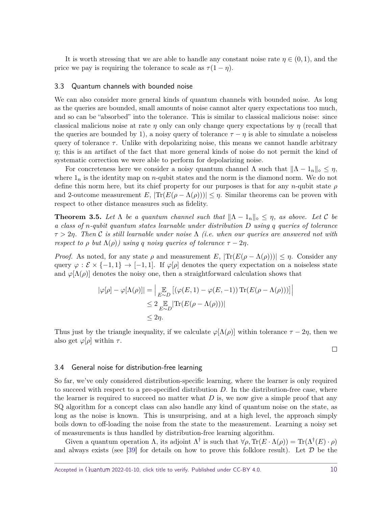<span id="page-9-0"></span>It is worth stressing that we are able to handle any constant noise rate  $\eta \in (0,1)$ , and the price we pay is requiring the tolerance to scale as  $\tau(1-\eta)$ .

#### 3.3 Quantum channels with bounded noise

We can also consider more general kinds of quantum channels with bounded noise. As long as the queries are bounded, small amounts of noise cannot alter query expectations too much, and so can be "absorbed" into the tolerance. This is similar to classical malicious noise: since classical malicious noise at rate  $\eta$  only can only change query expectations by  $\eta$  (recall that the queries are bounded by 1), a noisy query of tolerance  $\tau - \eta$  is able to simulate a noiseless query of tolerance  $\tau$ . Unlike with depolarizing noise, this means we cannot handle arbitrary *η*; this is an artifact of the fact that more general kinds of noise do not permit the kind of systematic correction we were able to perform for depolarizing noise.

For concreteness here we consider a noisy quantum channel  $\Lambda$  such that  $\|\Lambda - \Lambda_n\|_{\infty} \leq \eta$ , where  $1<sub>n</sub>$  is the identity map on *n*-qubit states and the norm is the diamond norm. We do not define this norm here, but its chief property for our purposes is that for any *n*-qubit state *ρ* and 2-outcome measurement  $E$ ,  $|\text{Tr}(E(\rho - \Lambda(\rho)))| \leq \eta$ . Similar theorems can be proven with respect to other distance measures such as fidelity.

**Theorem 3.5.** Let  $\Lambda$  be a quantum channel such that  $\|\Lambda - \mathbb{1}_n\|_{\infty} \leq \eta$ , as above. Let  $\mathcal{C}$  be *a class of n-qubit quantum states learnable under distribution D using q queries of tolerance τ >* 2*η. Then* C *is still learnable under noise* Λ *(i.e. when our queries are answered not with respect to*  $\rho$  *but*  $\Lambda(\rho)$ *)* using *q* noisy queries of tolerance  $\tau - 2\eta$ .

*Proof.* As noted, for any state  $\rho$  and measurement *E*,  $|\text{Tr}(E(\rho - \Lambda(\rho)))| \leq \eta$ . Consider any query  $\varphi : \mathcal{E} \times \{-1,1\} \to [-1,1]$ . If  $\varphi[\rho]$  denotes the query expectation on a noiseless state and  $\varphi[\Lambda(\rho)]$  denotes the noisy one, then a straightforward calculation shows that

$$
|\varphi[\rho] - \varphi[\Lambda(\rho)]| = \Big| \mathop{\mathbb{E}}_{E \sim D} [(\varphi(E, 1) - \varphi(E, -1)) \operatorname{Tr}(E(\rho - \Lambda(\rho)))] \Big|
$$
  

$$
\leq 2 \mathop{\mathbb{E}}_{E \sim D} |\operatorname{Tr}(E(\rho - \Lambda(\rho)))|
$$
  

$$
\leq 2\eta.
$$

Thus just by the triangle inequality, if we calculate  $\varphi[\Lambda(\rho)]$  within tolerance  $\tau - 2\eta$ , then we also get  $\varphi[\rho]$  within  $\tau$ .

 $\Box$ 

#### 3.4 General noise for distribution-free learning

So far, we've only considered distribution-specific learning, where the learner is only required to succeed with respect to a pre-specified distribution *D*. In the distribution-free case, where the learner is required to succeed no matter what *D* is, we now give a simple proof that any SQ algorithm for a concept class can also handle any kind of quantum noise on the state, as long as the noise is known. This is unsurprising, and at a high level, the approach simply boils down to off-loading the noise from the state to the measurement. Learning a noisy set of measurements is thus handled by distribution-free learning algorithm.

Given a quantum operation  $\Lambda$ , its adjoint  $\Lambda^{\dagger}$  is such that  $\forall \rho, \text{Tr}(E \cdot \Lambda(\rho)) = \text{Tr}(\Lambda^{\dagger}(E) \cdot \rho)$ and always exists (see  $[39]$  for details on how to prove this folklore result). Let  $D$  be the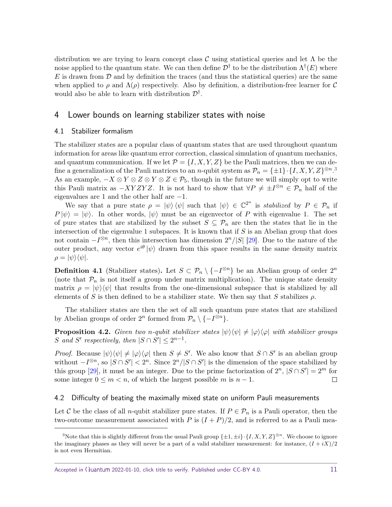<span id="page-10-3"></span>distribution we are trying to learn concept class C using statistical queries and let  $\Lambda$  be the noise applied to the quantum state. We can then define  $\mathcal{D}^{\dagger}$  to be the distribution  $\Lambda^{\dagger}(E)$  where  $E$  is drawn from  $D$  and by definition the traces (and thus the statistical queries) are the same when applied to  $\rho$  and  $\Lambda(\rho)$  respectively. Also by definition, a distribution-free learner for C would also be able to learn with distribution  $\mathcal{D}^{\dagger}$ .

# <span id="page-10-0"></span>4 Lower bounds on learning stabilizer states with noise

#### 4.1 Stabilizer formalism

The stabilizer states are a popular class of quantum states that are used throughout quantum information for areas like quantum error correction, classical simulation of quantum mechanics, and quantum communication. If we let  $\mathcal{P} = \{I, X, Y, Z\}$  be the Pauli matrices, then we can define a generalization of the Pauli matrices to an *n*-qubit system as  $\mathcal{P}_n = \{\pm 1\} \cdot \{I, X, Y, Z\}^{\otimes n}$ .<sup>[3](#page-10-1)</sup> As an example,  $-X \otimes Y \otimes Z \otimes Y \otimes Z \in \mathcal{P}_5$ , though in the future we will simply opt to write this Pauli matrix as  $-XYZYZ$ . It is not hard to show that  $\forall P \neq \pm I^{\otimes n} \in \mathcal{P}_n$  half of the eigenvalues are 1 and the other half are −1.

We say that a pure state  $\rho = |\psi\rangle \langle \psi|$  such that  $|\psi\rangle \in \mathbb{C}^{2^n}$  is *stabilized* by  $P \in \mathcal{P}_n$  if  $P |\psi\rangle = |\psi\rangle$ . In other words,  $|\psi\rangle$  must be an eigenvector of *P* with eigenvalue 1. The set of pure states that are stabilized by the subset  $S \subseteq \mathcal{P}_n$  are then the states that lie in the intersection of the eigenvalue 1 subspaces. It is known that if *S* is an Abelian group that does not contain  $-I^{\otimes n}$ , then this intersection has dimension  $2^{n}/|S|$  [\[29\]](#page-23-15). Due to the nature of the outer product, any vector  $e^{i\theta} |\psi\rangle$  drawn from this space results in the same density matrix  $\rho = |\psi\rangle \langle \psi|.$ 

**Definition 4.1** (Stabilizer states). Let  $S \subset \mathcal{P}_n \setminus \{-I^{\otimes n}\}\$  be an Abelian group of order  $2^n$ (note that  $P_n$  is not itself a group under matrix multiplication). The unique state density matrix  $\rho = |\psi\rangle\langle\psi|$  that results from the one-dimensional subspace that is stabilized by all elements of *S* is then defined to be a stabilizer state. We then say that *S* stabilizes  $\rho$ .

The stabilizer states are then the set of all such quantum pure states that are stabilized by Abelian groups of order  $2^n$  formed from  $\mathcal{P}_n \setminus \{-I^{\otimes n}\}.$ 

<span id="page-10-2"></span>**Proposition 4.2.** *Given two n-qubit stabilizer states*  $|\psi\rangle\langle\psi| \neq |\varphi\rangle\langle\varphi|$  *with stabilizer groups* S and S' respectively, then  $|S \cap S'| \leq 2^{n-1}$ .

*Proof.* Because  $|\psi\rangle\langle\psi| \neq |\varphi\rangle\langle\varphi|$  then  $S \neq S'$ . We also know that  $S \cap S'$  is an abelian group without  $-I^{\otimes n}$ , so  $|S \cap S'| < 2^n$ . Since  $2^n/|S \cap S'|$  is the dimension of the space stabilized by this group [\[29\]](#page-23-15), it must be an integer. Due to the prime factorization of  $2^n$ ,  $|S \cap S'| = 2^m$  for some integer  $0 \leq m < n$ , of which the largest possible *m* is  $n - 1$ .  $\Box$ 

#### 4.2 Difficulty of beating the maximally mixed state on uniform Pauli measurements

Let C be the class of all *n*-qubit stabilizer pure states. If  $P \in \mathcal{P}_n$  is a Pauli operator, then the two-outcome measurement associated with *P* is  $(I + P)/2$ , and is referred to as a Pauli mea-

<span id="page-10-1"></span><sup>&</sup>lt;sup>3</sup>Note that this is slightly different from the usual Pauli group  $\{\pm 1, \pm i\} \cdot \{I, X, Y, Z\}^{\otimes n}$ . We choose to ignore the imaginary phases as they will never be a part of a valid stabilizer measurement: for instance,  $(I + iX)/2$ is not even Hermitian.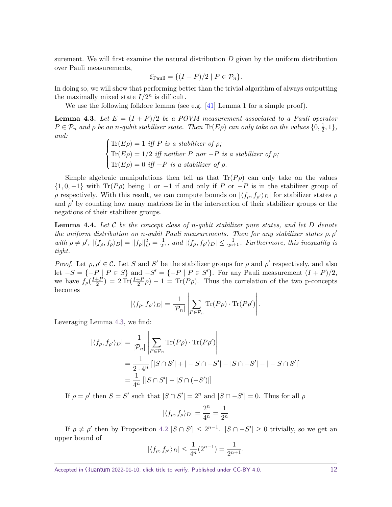<span id="page-11-2"></span>surement. We will first examine the natural distribution *D* given by the uniform distribution over Pauli measurements,

$$
\mathcal{E}_{\text{Pauli}} = \{ (I + P)/2 \mid P \in \mathcal{P}_n \}.
$$

In doing so, we will show that performing better than the trivial algorithm of always outputting the maximally mixed state  $I/2^n$  is difficult.

We use the following folklore lemma (see e.g. [\[41\]](#page-24-0) Lemma 1 for a simple proof).

<span id="page-11-0"></span>**Lemma 4.3.** Let  $E = (I + P)/2$  be a POVM measurement associated to a Pauli operator  $P \in \mathcal{P}_n$  *and*  $\rho$  *be an n-qubit stabiliser state. Then*  $\text{Tr}(E\rho)$  *can only take on the values*  $\{0, \frac{1}{2}\}$  $\frac{1}{2}, 1\},\$ *and:*

$$
\begin{cases}\n\text{Tr}(E\rho) = 1 \text{ iff } P \text{ is a stabilizer of } \rho; \\
\text{Tr}(E\rho) = 1/2 \text{ iff neither } P \text{ nor } -P \text{ is a stabilizer of } \rho; \\
\text{Tr}(E\rho) = 0 \text{ iff } -P \text{ is a stabilizer of } \rho.\n\end{cases}
$$

Simple algebraic manipulations then tell us that  $\text{Tr}(P\rho)$  can only take on the values  $\{1, 0, -1\}$  with Tr(*P* $\rho$ ) being 1 or −1 if and only if *P* or −*P* is in the stabilizer group of *ρ* respectively. With this result, we can compute bounds on  $|\langle f_{\rho}, f_{\rho'} \rangle_D|$  for stabilizer states  $\rho$ and  $\rho'$  by counting how many matrices lie in the intersection of their stabilizer groups or the negations of their stabilizer groups.

<span id="page-11-1"></span>**Lemma 4.4.** *Let* C *be the concept class of n-qubit stabilizer pure states, and let D denote the uniform distribution on n*-qubit Pauli measurements. Then for any stabilizer states  $\rho$ ,  $\rho'$ with  $\rho \neq \rho'$ ,  $|\langle f_{\rho}, f_{\rho} \rangle_D| = ||f_{\rho}||_D^2 = \frac{1}{2^n}$ , and  $|\langle f_{\rho}, f_{\rho'} \rangle_D| \leq \frac{1}{2^{n+1}}$ . Furthermore, this inequality is *tight.*

*Proof.* Let  $\rho, \rho' \in \mathcal{C}$ . Let *S* and *S'* be the stabilizer groups for  $\rho$  and  $\rho'$  respectively, and also let  $-S = \{-P \mid P \in S\}$  and  $-S' = \{-P \mid P \in S'\}$ . For any Pauli measurement  $(I + P)/2$ , we have  $f_{\rho}(\frac{I+F}{2})$  $\frac{1+P}{2}$  = 2 Tr( $\frac{I+P}{2}$  $\rho$ ) - 1 = Tr( $P\rho$ ). Thus the correlation of the two p-concepts becomes

$$
|\langle f_{\rho}, f_{\rho'} \rangle_D| = \frac{1}{|\mathcal{P}_n|} \left| \sum_{P \in \mathcal{P}_n} \text{Tr}(P\rho) \cdot \text{Tr}(P\rho') \right|.
$$

Leveraging Lemma [4.3,](#page-11-0) we find:

$$
\begin{aligned} |\langle f_{\rho}, f_{\rho'} \rangle_{D}| &= \frac{1}{|\mathcal{P}_n|} \left| \sum_{P \in \mathcal{P}_n} \text{Tr}(P\rho) \cdot \text{Tr}(P\rho') \right| \\ &= \frac{1}{2 \cdot 4^n} \left[ |S \cap S'| + |-S \cap -S'| - |S \cap -S'| - |-S \cap S'| \right] \\ &= \frac{1}{4^n} \left[ |S \cap S'| - |S \cap (-S')| \right] \end{aligned}
$$

If  $\rho = \rho'$  then  $S = S'$  such that  $|S \cap S'| = 2^n$  and  $|S \cap S'| = 0$ . Thus for all  $\rho$ 

$$
|\langle f_{\rho}, f_{\rho} \rangle_D| = \frac{2^n}{4^n} = \frac{1}{2^n}
$$

If  $\rho \neq \rho'$  then by Proposition [4.2](#page-10-2)  $|S \cap S'| \leq 2^{n-1}$ .  $|S \cap -S'| \geq 0$  trivially, so we get an upper bound of

$$
|\langle f_{\rho}, f_{\rho'} \rangle_D| \le \frac{1}{4^n} (2^{n-1}) = \frac{1}{2^{n+1}}.
$$

Accepted in  $\langle \rangle$ uantum 2022-01-10, click title to verify. Published under CC-BY 4.0. 12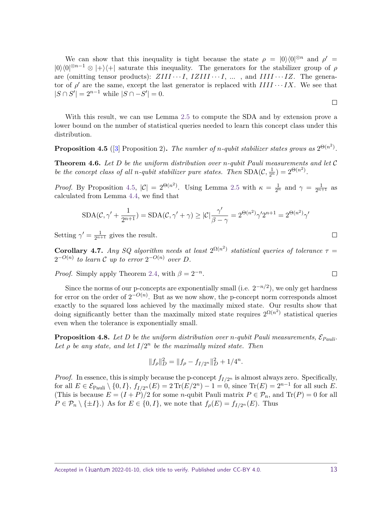<span id="page-12-2"></span>We can show that this inequality is tight because the state  $\rho = |0\rangle\langle 0|^{\otimes n}$  and  $\rho' =$  $|0\rangle\langle 0|^{\otimes n-1} \otimes |+\rangle\langle +|$  saturate this inequality. The generators for the stabilizer group of *ρ* are (omitting tensor products):  $ZIII \cdots I$ ,  $IZIII \cdots I$ , ..., and  $IIII \cdots IZ$ . The generator of  $\rho'$  are the same, except the last generator is replaced with  $IIII \cdots IX$ . We see that  $|S \cap S'| = 2^{n-1}$  while  $|S \cap -S'| = 0$ .

With this result, we can use Lemma [2.5](#page-6-0) to compute the SDA and by extension prove a lower bound on the number of statistical queries needed to learn this concept class under this distribution.

<span id="page-12-1"></span>**Proposition 4.5** ([\[3\]](#page-21-1) Proposition 2). The number of *n*-qubit stabilizer states grows as  $2^{\Theta(n^2)}$ .

**Theorem 4.6.** *Let D be the uniform distribution over n-qubit Pauli measurements and let* C *be the concept class of all <i>n-qubit stabilizer pure states. Then*  $SDA(C, \frac{1}{2^n}) = 2^{\Theta(n^2)}$ .

*Proof.* By Proposition [4.5,](#page-12-1)  $|\mathcal{C}| = 2^{\Theta(n^2)}$ . Using Lemma [2.5](#page-6-0) with  $\kappa = \frac{1}{2^n}$  and  $\gamma = \frac{1}{2^{n+1}}$  as calculated from Lemma [4.4,](#page-11-1) we find that

$$
\text{SDA}(\mathcal{C},\gamma'+\frac{1}{2^{n+1}})=\text{SDA}(\mathcal{C},\gamma'+\gamma)\geq |\mathcal{C}|\frac{\gamma'}{\beta-\gamma}=2^{\Theta(n^2)}\gamma'2^{n+1}=2^{\Theta(n^2)}\gamma'
$$

Setting  $\gamma' = \frac{1}{2^{n+1}}$  gives the result.

<span id="page-12-0"></span>**Corollary 4.7.** *Any SQ algorithm needs at least*  $2^{\Omega(n^2)}$  *statistical queries of tolerance*  $\tau =$  $2^{-O(n)}$  to learn C up to error  $2^{-O(n)}$  over D.

*Proof.* Simply apply Theorem [2.4,](#page-6-1) with  $\beta = 2^{-n}$ .

Since the norms of our p-concepts are exponentially small (i.e.  $2^{-n/2}$ ), we only get hardness for error on the order of  $2^{-O(n)}$ . But as we now show, the p-concept norm corresponds almost exactly to the squared loss achieved by the maximally mixed state. Our results show that doing significantly better than the maximally mixed state requires  $2^{\Omega(n^2)}$  statistical queries even when the tolerance is exponentially small.

**Proposition 4.8.** Let D be the uniform distribution over *n*-qubit Pauli measurements,  $\mathcal{E}_{Pauli}$ . Let  $\rho$  be any state, and let  $I/2^n$  be the maximally mixed state. Then

$$
||f_{\rho}||_D^2 = ||f_{\rho} - f_{I/2^n}||_D^2 + 1/4^n.
$$

*Proof.* In essence, this is simply because the p-concept  $f_{I/2^n}$  is almost always zero. Specifically, for all  $E \in \mathcal{E}_{\text{Pauli}} \setminus \{0, I\}, f_{I/2^n}(E) = 2 \text{Tr}(E/2^n) - 1 = 0$ , since  $\text{Tr}(E) = 2^{n-1}$  for all such *E*. (This is because  $E = (I + P)/2$  for some *n*-qubit Pauli matrix  $P \in \mathcal{P}_n$ , and  $Tr(P) = 0$  for all  $P \in \mathcal{P}_n \setminus \{\pm I\}$ .) As for  $E \in \{0, I\}$ , we note that  $f_\rho(E) = f_{I/2^n}(E)$ . Thus

 $\Box$ 

 $\Box$ 

 $\Box$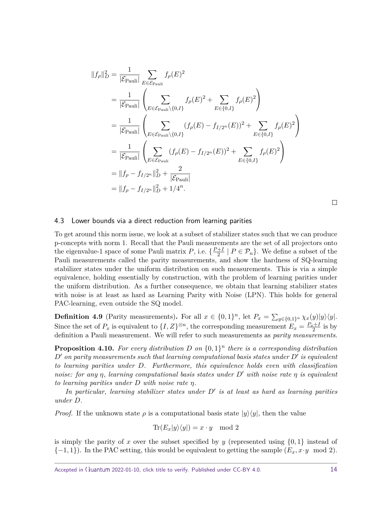$$
||f_{\rho}||_{D}^{2} = \frac{1}{|\mathcal{E}_{\text{Pauli}}|} \sum_{E \in \mathcal{E}_{\text{Pauli}}} f_{\rho}(E)^{2}
$$
  
\n
$$
= \frac{1}{|\mathcal{E}_{\text{Pauli}}|} \left( \sum_{E \in \mathcal{E}_{\text{Pauli}} \setminus \{0,I\}} f_{\rho}(E)^{2} + \sum_{E \in \{0,I\}} f_{\rho}(E)^{2} \right)
$$
  
\n
$$
= \frac{1}{|\mathcal{E}_{\text{Pauli}}|} \left( \sum_{E \in \mathcal{E}_{\text{Pauli}} \setminus \{0,I\}} (f_{\rho}(E) - f_{I/2^{n}}(E))^{2} + \sum_{E \in \{0,I\}} f_{\rho}(E)^{2} \right)
$$
  
\n
$$
= \frac{1}{|\mathcal{E}_{\text{Pauli}}|} \left( \sum_{E \in \mathcal{E}_{\text{Pauli}}} (f_{\rho}(E) - f_{I/2^{n}}(E))^{2} + \sum_{E \in \{0,I\}} f_{\rho}(E)^{2} \right)
$$
  
\n
$$
= ||f_{\rho} - f_{I/2^{n}}||_{D}^{2} + \frac{2}{|\mathcal{E}_{\text{Pauli}}|}
$$
  
\n
$$
= ||f_{\rho} - f_{I/2^{n}}||_{D}^{2} + 1/4^{n}.
$$

 $\Box$ 

## 4.3 Lower bounds via a direct reduction from learning parities

To get around this norm issue, we look at a subset of stabilizer states such that we can produce p-concepts with norm 1. Recall that the Pauli measurements are the set of all projectors onto the eigenvalue-1 space of some Pauli matrix *P*, i.e.  $\{\frac{P+I}{2}\}$  $\frac{+1}{2}$  |  $P \in \mathcal{P}_n$  }. We define a subset of the Pauli measurements called the parity measurements, and show the hardness of SQ-learning stabilizer states under the uniform distribution on such measurements. This is via a simple equivalence, holding essentially by construction, with the problem of learning parities under the uniform distribution. As a further consequence, we obtain that learning stabilizer states with noise is at least as hard as Learning Parity with Noise (LPN). This holds for general PAC-learning, even outside the SQ model.

**Definition 4.9** (Parity measurements). For all  $x \in \{0,1\}^n$ , let  $P_x = \sum_{y \in \{0,1\}^n} \chi_x(y)|y\rangle\langle y|$ . Since the set of  $P_x$  is equivalent to  $\{I, Z\}^{\otimes n}$ , the corresponding measurement  $E_x = \frac{P_x + I}{2}$  is by definition a Pauli measurement. We will refer to such measurements as *parity measurements*.

<span id="page-13-0"></span>**Proposition 4.10.** For every distribution D on  $\{0,1\}^n$  there is a corresponding distribution  $D'$  *on parity measurements such that learning computational basis states under*  $D'$  *is equivalent to learning parities under D. Furthermore, this equivalence holds even with classification noise: for any η, learning computational basis states under D' with noise rate η is equivalent to learning parities under D with noise rate η.*

In particular, learning stabilizer states under  $D'$  is at least as hard as learning parities *under D.*

*Proof.* If the unknown state  $\rho$  is a computational basis state  $|y\rangle\langle y|$ , then the value

$$
\text{Tr}(E_x|y\rangle\langle y|)=x\cdot y\mod 2
$$

is simply the parity of x over the subset specified by y (represented using  $\{0,1\}$  instead of  $\{-1, 1\}$ ). In the PAC setting, this would be equivalent to getting the sample  $(E_x, x \cdot y \mod 2)$ .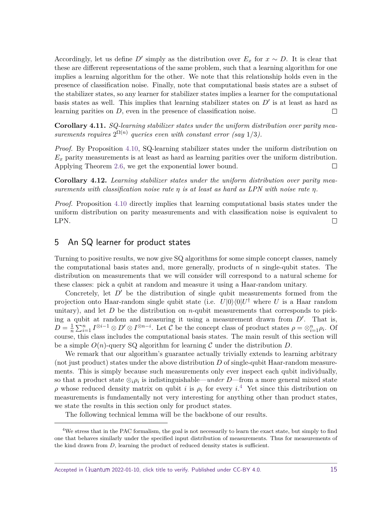Accordingly, let us define  $D'$  simply as the distribution over  $E_x$  for  $x \sim D$ . It is clear that these are different representations of the same problem, such that a learning algorithm for one implies a learning algorithm for the other. We note that this relationship holds even in the presence of classification noise. Finally, note that computational basis states are a subset of the stabilizer states, so any learner for stabilizer states implies a learner for the computational basis states as well. This implies that learning stabilizer states on  $D'$  is at least as hard as learning parities on *D*, even in the presence of classification noise.  $\Box$ 

<span id="page-14-0"></span>**Corollary 4.11.** *SQ-learning stabilizer states under the uniform distribution over parity mea*surements requires  $2^{\Omega(n)}$  queries even with constant error (say 1/3).

*Proof.* By Proposition [4.10,](#page-13-0) SQ-learning stabilizer states under the uniform distribution on *E<sup>x</sup>* parity measurements is at least as hard as learning parities over the uniform distribution. Applying Theorem [2.6,](#page-6-2) we get the exponential lower bound. □

<span id="page-14-1"></span>**Corollary 4.12.** *Learning stabilizer states under the uniform distribution over parity measurements with classification noise rate η is at least as hard as LPN with noise rate η.*

*Proof.* Proposition [4.10](#page-13-0) directly implies that learning computational basis states under the uniform distribution on parity measurements and with classification noise is equivalent to LPN.  $\Box$ 

# <span id="page-14-2"></span>5 An SQ learner for product states

Turning to positive results, we now give SQ algorithms for some simple concept classes, namely the computational basis states and, more generally, products of *n* single-qubit states. The distribution on measurements that we will consider will correspond to a natural scheme for these classes: pick a qubit at random and measure it using a Haar-random unitary.

Concretely, let  $D'$  be the distribution of single qubit measurements formed from the projection onto Haar-random single qubit state (i.e.  $U|0\rangle\langle0|U^{\dagger}$  where *U* is a Haar random unitary), and let  $D$  be the distribution on  $n$ -qubit measurements that corresponds to picking a qubit at random and measuring it using a measurement drawn from  $D'$ . That is,  $D=\frac{1}{n}$  $\frac{1}{n}\sum_{i=1}^{n} I^{\otimes i-1} \otimes D' \otimes I^{\otimes n-i}$ . Let C be the concept class of product states  $\rho = \otimes_{i=1}^{n} \rho_i$ . Of course, this class includes the computational basis states. The main result of this section will be a simple  $O(n)$ -query SQ algorithm for learning C under the distribution D.

We remark that our algorithm's guarantee actually trivially extends to learning arbitrary (not just product) states under the above distribution *D* of single-qubit Haar-random measurements. This is simply because such measurements only ever inspect each qubit individually, so that a product state  $\otimes_i \rho_i$  is indistinguishable—under *D*—from a more general mixed state *ρ* whose reduced density matrix on qubit *i* is  $\rho_i$  for every *i*.<sup>[4](#page-14-3)</sup> Yet since this distribution on measurements is fundamentally not very interesting for anything other than product states, we state the results in this section only for product states.

The following technical lemma will be the backbone of our results.

<span id="page-14-4"></span><span id="page-14-3"></span><sup>&</sup>lt;sup>4</sup>We stress that in the PAC formalism, the goal is not necessarily to learn the exact state, but simply to find one that behaves similarly under the specified input distribution of measurements. Thus for measurements of the kind drawn from *D*, learning the product of reduced density states is sufficient.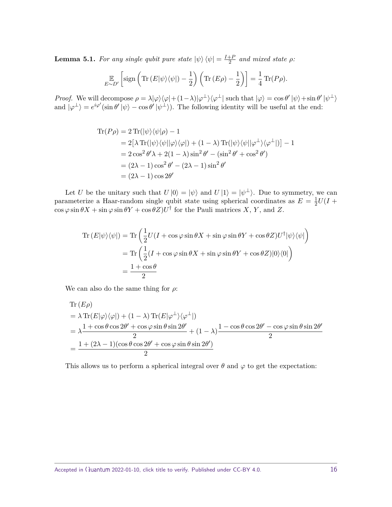**Lemma 5.1.** *For any single qubit pure state*  $|\psi\rangle \langle \psi| = \frac{I + P}{2}$  $\frac{+P}{2}$  and mixed state  $\rho$ *:* 

$$
\mathop{\mathbb{E}}_{E \sim D'} \left[ \text{sign}\left( \text{Tr}\left( E|\psi\rangle \langle \psi| \right) - \frac{1}{2} \right) \left( \text{Tr}\left( E\rho \right) - \frac{1}{2} \right) \right] = \frac{1}{4} \text{Tr}(P\rho).
$$

*Proof.* We will decompose  $\rho = \lambda |\varphi\rangle \langle \varphi | + (1 - \lambda) |\varphi^{\perp}\rangle \langle \varphi^{\perp} |$  such that  $|\varphi\rangle = \cos \theta' |\psi\rangle + \sin \theta' |\psi^{\perp}\rangle$ and  $|\varphi^{\perp}\rangle = e^{i\varphi'}(\sin\theta'|\psi\rangle - \cos\theta'|\psi^{\perp}\rangle)$ . The following identity will be useful at the end:

$$
\begin{aligned} \text{Tr}(P\rho) &= 2\operatorname{Tr}(|\psi\rangle\langle\psi|\rho) - 1 \\ &= 2\big[\lambda \operatorname{Tr}(|\psi\rangle\langle\psi||\varphi\rangle\langle\varphi|\big) + (1-\lambda)\operatorname{Tr}(|\psi\rangle\langle\psi||\varphi^{\perp}\rangle\langle\varphi^{\perp}|)\big] - 1 \\ &= 2\cos^2\theta'\lambda + 2(1-\lambda)\sin^2\theta' - (\sin^2\theta' + \cos^2\theta') \\ &= (2\lambda - 1)\cos^2\theta' - (2\lambda - 1)\sin^2\theta' \\ &= (2\lambda - 1)\cos 2\theta' \end{aligned}
$$

Let *U* be the unitary such that  $U |0\rangle = |\psi\rangle$  and  $U |1\rangle = |\psi^{\perp}\rangle$ . Due to symmetry, we can parameterize a Haar-random single qubit state using spherical coordinates as  $E = \frac{1}{2}$  $\frac{1}{2}U(I + )$  $\cos \varphi \sin \theta X + \sin \varphi \sin \theta Y + \cos \theta Z$ *U*<sup>†</sup> for the Pauli matrices *X*, *Y*, and *Z*.

$$
\operatorname{Tr}(E|\psi\rangle\langle\psi|) = \operatorname{Tr}\left(\frac{1}{2}U(I + \cos\varphi\sin\theta X + \sin\varphi\sin\theta Y + \cos\theta Z)U^{\dagger}|\psi\rangle\langle\psi|\right)
$$

$$
= \operatorname{Tr}\left(\frac{1}{2}(I + \cos\varphi\sin\theta X + \sin\varphi\sin\theta Y + \cos\theta Z)|0\rangle\langle0|\right)
$$

$$
= \frac{1 + \cos\theta}{2}
$$

We can also do the same thing for *ρ*:

Tr 
$$
(E\rho)
$$
  
\n
$$
= \lambda \operatorname{Tr}(E|\varphi\rangle\langle\varphi|) + (1 - \lambda) \operatorname{Tr}(E|\varphi^{\perp}\rangle\langle\varphi^{\perp}|)
$$
\n
$$
= \lambda \frac{1 + \cos\theta\cos 2\theta' + \cos\varphi\sin\theta\sin 2\theta'}{2} + (1 - \lambda) \frac{1 - \cos\theta\cos 2\theta' - \cos\varphi\sin\theta\sin 2\theta'}{2}
$$
\n
$$
= \frac{1 + (2\lambda - 1)(\cos\theta\cos 2\theta' + \cos\varphi\sin\theta\sin 2\theta')}{2}
$$

This allows us to perform a spherical integral over  $\theta$  and  $\varphi$  to get the expectation: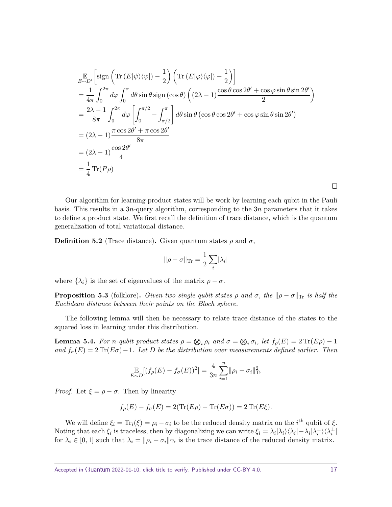$$
\mathbb{E}_{\infty D'} \left[ \text{sign}\left( \text{Tr}\left( E|\psi\rangle\langle\psi| \right) - \frac{1}{2} \right) \left( \text{Tr}\left( E|\varphi\rangle\langle\varphi| \right) - \frac{1}{2} \right) \right]
$$
\n
$$
= \frac{1}{4\pi} \int_0^{2\pi} d\varphi \int_0^{\pi} d\theta \sin \theta \sin(\cos \theta) \left( (2\lambda - 1) \frac{\cos \theta \cos 2\theta' + \cos \varphi \sin \theta \sin 2\theta'}{2} \right)
$$
\n
$$
= \frac{2\lambda - 1}{8\pi} \int_0^{2\pi} d\varphi \left[ \int_0^{\pi/2} - \int_{\pi/2}^{\pi} \right] d\theta \sin \theta \left( \cos \theta \cos 2\theta' + \cos \varphi \sin \theta \sin 2\theta' \right)
$$
\n
$$
= (2\lambda - 1) \frac{\pi \cos 2\theta' + \pi \cos 2\theta'}{8\pi}
$$
\n
$$
= (2\lambda - 1) \frac{\cos 2\theta'}{4}
$$
\n
$$
= \frac{1}{4} \text{Tr}(P\rho)
$$

Our algorithm for learning product states will be work by learning each qubit in the Pauli basis. This results in a 3*n*-query algorithm, corresponding to the 3*n* parameters that it takes to define a product state. We first recall the definition of trace distance, which is the quantum generalization of total variational distance.

**Definition 5.2** (Trace distance). Given quantum states  $\rho$  and  $\sigma$ ,

$$
\|\rho-\sigma\|_{\text{Tr}}=\frac{1}{2}\sum_i|\lambda_i|
$$

where  $\{\lambda_i\}$  is the set of eigenvalues of the matrix  $\rho - \sigma$ .

<span id="page-16-1"></span>**Proposition 5.3** (folklore). *Given two single qubit states*  $\rho$  *and*  $\sigma$ *, the*  $\|\rho - \sigma\|_{\text{Tr}}$  *is half the Euclidean distance between their points on the Bloch sphere.*

The following lemma will then be necessary to relate trace distance of the states to the squared loss in learning under this distribution.

<span id="page-16-0"></span>**Lemma 5.4.** For *n*-qubit product states  $\rho = \bigotimes_i \rho_i$  and  $\sigma = \bigotimes_i \sigma_i$ , let  $f_\rho(E) = 2 \operatorname{Tr}(E \rho) - 1$ *and*  $f_{\sigma}(E) = 2 \text{Tr}(E\sigma) - 1$ *. Let D be the distribution over measurements defined earlier. Then* 

$$
\mathop{\mathbb{E}}_{E \sim D} [(f_{\rho}(E) - f_{\sigma}(E))^2] = \frac{4}{3n} \sum_{i=1}^{n} ||\rho_i - \sigma_i||_{\text{Tr}}^2
$$

*Proof.* Let  $\xi = \rho - \sigma$ . Then by linearity

 $f_{\rho}(E) - f_{\sigma}(E) = 2(\text{Tr}(E\rho) - \text{Tr}(E\sigma)) = 2 \text{Tr}(E\xi).$ 

We will define  $\xi_i = \text{Tr}_i(\xi) = \rho_i - \sigma_i$  to be the reduced density matrix on the *i*<sup>th</sup> qubit of  $\xi$ . Noting that each  $\xi_i$  is traceless, then by diagonalizing we can write  $\xi_i = \lambda_i |\lambda_i\rangle \langle \lambda_i| - \lambda_i |\lambda_i^{\perp}\rangle \langle \lambda_i^{\perp}|$ for  $\lambda_i \in [0,1]$  such that  $\lambda_i = ||\rho_i - \sigma_i||$  is the trace distance of the reduced density matrix.

 $\Box$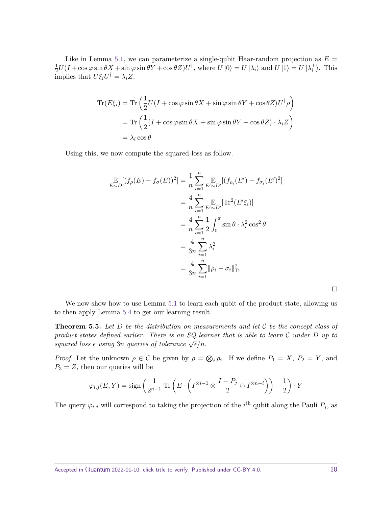Like in Lemma [5.1,](#page-14-4) we can parameterize a single-qubit Haar-random projection as  $E =$ 1  $\frac{1}{2}U(I+\cos\varphi\sin\theta X+\sin\varphi\sin\theta Y+\cos\theta Z)U^{\dagger}$ , where  $U|0\rangle = U|\lambda_i\rangle$  and  $U|1\rangle = U|\lambda_i^{\perp}\rangle$ . This  $\overline{\text{implies}} \text{ that } U\xi_i U^{\dagger} = \lambda_i Z.$ 

$$
\begin{aligned} \text{Tr}(E\xi_i) &= \text{Tr}\left(\frac{1}{2}U(I + \cos\varphi\sin\theta X + \sin\varphi\sin\theta Y + \cos\theta Z)U^\dagger\rho\right) \\ &= \text{Tr}\left(\frac{1}{2}(I + \cos\varphi\sin\theta X + \sin\varphi\sin\theta Y + \cos\theta Z)\cdot\lambda_i Z\right) \\ &= \lambda_i\cos\theta \end{aligned}
$$

Using this, we now compute the squared-loss as follow.

$$
\mathbb{E}_{\sim D}[(f_{\rho}(E) - f_{\sigma}(E))^2] = \frac{1}{n} \sum_{i=1}^n \mathbb{E}_{\rho \sim D'}[(f_{\rho_i}(E') - f_{\sigma_i}(E')^2]
$$
  
\n
$$
= \frac{4}{n} \sum_{i=1}^n \mathbb{E}_{\rho \sim D'}[\text{Tr}^2(E'\xi_i)]
$$
  
\n
$$
= \frac{4}{n} \sum_{i=1}^n \frac{1}{2} \int_0^{\pi} \sin \theta \cdot \lambda_i^2 \cos^2 \theta
$$
  
\n
$$
= \frac{4}{3n} \sum_{i=1}^n \lambda_i^2
$$
  
\n
$$
= \frac{4}{3n} \sum_{i=1}^n \|\rho_i - \sigma_i\|_{\text{Tr}}^2
$$

 $\Box$ 

We now show how to use Lemma [5.1](#page-14-4) to learn each qubit of the product state, allowing us to then apply Lemma [5.4](#page-16-0) to get our learning result.

**Theorem 5.5.** *Let D be the distribution on measurements and let* C *be the concept class of product states defined earlier. There is an SQ learner that is able to learn* C *under D up to squared loss*  $\epsilon$  *using* 3*n queries of tolerance*  $\sqrt{\epsilon}/n$ *.* 

*Proof.* Let the unknown  $\rho \in C$  be given by  $\rho = \bigotimes_i \rho_i$ . If we define  $P_1 = X$ ,  $P_2 = Y$ , and  $P_3 = Z$ , then our queries will be

$$
\varphi_{i,j}(E,Y) = \text{sign}\left(\frac{1}{2^{n-1}}\operatorname{Tr}\left(E \cdot \left(I^{\otimes i-1} \otimes \frac{I+P_j}{2} \otimes I^{\otimes n-i}\right)\right) - \frac{1}{2}\right) \cdot Y
$$

The query  $\varphi_{i,j}$  will correspond to taking the projection of the *i*<sup>th</sup> qubit along the Pauli  $P_j$ , as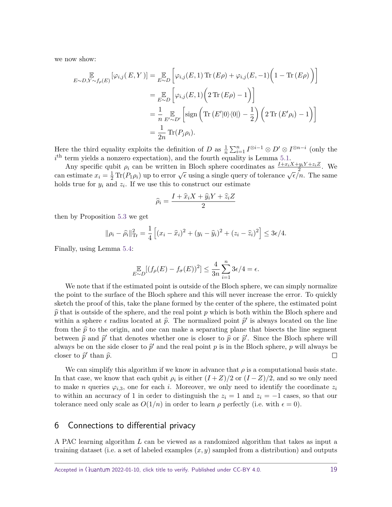we now show:

$$
\mathbb{E}_{\sim D,Y \sim f_{\rho}(E)} [\varphi_{i,j}(E,Y)] = \mathbb{E}_{E \sim D} \left[ \varphi_{i,j}(E,1) \operatorname{Tr} (E\rho) + \varphi_{i,j}(E,-1) \left( 1 - \operatorname{Tr} (E\rho) \right) \right]
$$
  
\n
$$
= \mathbb{E}_{E \sim D} \left[ \varphi_{i,j}(E,1) \left( 2 \operatorname{Tr} (E\rho) - 1 \right) \right]
$$
  
\n
$$
= \frac{1}{n} \mathbb{E}_{E' \sim D'} \left[ \operatorname{sign} \left( \operatorname{Tr} (E' |0\rangle\langle 0|) - \frac{1}{2} \right) \left( 2 \operatorname{Tr} (E'\rho_i) - 1 \right) \right]
$$
  
\n
$$
= \frac{1}{2n} \operatorname{Tr} (P_j \rho_i).
$$

Here the third equality exploits the definition of *D* as  $\frac{1}{n} \sum_{i=1}^{n} I^{\otimes i-1} \otimes D' \otimes I^{\otimes n-i}$  (only the  $i<sup>th</sup>$  term yields a nonzero expectation), and the fourth equality is Lemma [5.1.](#page-14-4)

Any specific qubit  $\rho_i$  can be written in Bloch sphere coordinates as  $\frac{I+x_iX+y_iY+z_iZ}{2}$ . We can estimate  $x_i = \frac{1}{2} \text{Tr}(P_1 \rho_i)$  up to error  $\sqrt{\epsilon}$  using a single query of tolerance  $\sqrt{\epsilon}/n$ . The same holds true for  $y_i$  and  $z_i$ . If we use this to construct our estimate

$$
\widehat{\rho}_i = \frac{I + \widehat{x}_i X + \widehat{y}_i Y + \widehat{z}_i Z}{2}
$$

then by Proposition [5.3](#page-16-1) we get

$$
\|\rho_i - \widehat{\rho}_i\|_{\text{Tr}}^2 = \frac{1}{4} \left[ (x_i - \widehat{x}_i)^2 + (y_i - \widehat{y}_i)^2 + (z_i - \widehat{z}_i)^2 \right] \le 3\epsilon/4.
$$

Finally, using Lemma [5.4:](#page-16-0)

$$
\mathbb{E}_{\sim D}[(f_{\rho}(E) - f_{\sigma}(E))^2] \le \frac{4}{3n} \sum_{i=1}^n 3\epsilon/4 = \epsilon.
$$

We note that if the estimated point is outside of the Bloch sphere, we can simply normalize the point to the surface of the Bloch sphere and this will never increase the error. To quickly sketch the proof of this, take the plane formed by the center of the sphere, the estimated point  $\hat{p}$  that is outside of the sphere, and the real point *p* which is both within the Bloch sphere and within a sphere  $\epsilon$  radius located at  $\hat{p}$ . The normalized point  $\hat{p}'$  is always located on the line from the  $\hat{p}$  to the origin, and one can make a separating plane that bisects the line segment between  $\hat{p}$  and  $\hat{p}'$  that denotes whether one is closer to  $\hat{p}$  or  $\hat{p}'$ . Since the Bloch sphere will always be on the side closer to  $\hat{p}'$  and the real point *p* is in the Bloch sphere, *p* will always be closer to  $\hat{p}'$  than  $\hat{p}$ .  $\Box$ 

We can simplify this algorithm if we know in advance that  $\rho$  is a computational basis state. In that case, we know that each qubit  $\rho_i$  is either  $(I+Z)/2$  or  $(I-Z)/2$ , and so we only need to make *n* queries  $\varphi_{i,3}$ , one for each *i*. Moreover, we only need to identify the coordinate  $z_i$ to within an accuracy of 1 in order to distinguish the  $z_i = 1$  and  $z_i = -1$  cases, so that our tolerance need only scale as  $O(1/n)$  in order to learn  $\rho$  perfectly (i.e. with  $\epsilon = 0$ ).

# <span id="page-18-0"></span>6 Connections to differential privacy

A PAC learning algorithm *L* can be viewed as a randomized algorithm that takes as input a training dataset (i.e. a set of labeled examples (*x, y*) sampled from a distribution) and outputs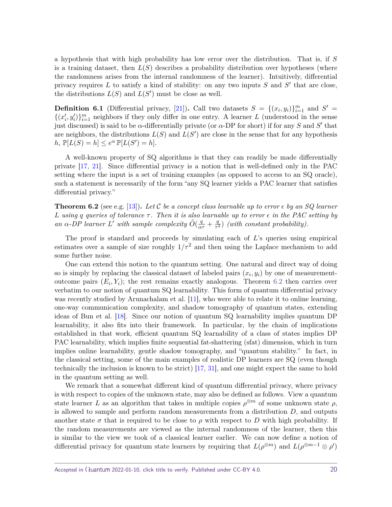<span id="page-19-1"></span>a hypothesis that with high probability has low error over the distribution. That is, if *S* is a training dataset, then  $L(S)$  describes a probability distribution over hypotheses (where the randomness arises from the internal randomness of the learner). Intuitively, differential privacy requires  $L$  to satisfy a kind of stability: on any two inputs  $S$  and  $S'$  that are close, the distributions  $L(S)$  and  $L(S')$  must be close as well.

**Definition 6.1** (Differential privacy, [\[21\]](#page-23-8)). Call two datasets  $S = \{(x_i, y_i)\}_{i=1}^m$  and  $S' =$  $\{(x'_i, y'_i)\}_{i=1}^m$  neighbors if they only differ in one entry. A learner *L* (understood in the sense just discussed) is said to be  $\alpha$ -differentially private (or  $\alpha$ -DP for short) if for any *S* and *S'* that are neighbors, the distributions  $L(S)$  and  $L(S')$  are close in the sense that for any hypothesis  $h, \mathbb{P}[L(S) = h] \leq e^{\alpha} \mathbb{P}[L(S') = h].$ 

A well-known property of SQ algorithms is that they can readily be made differentially private [\[17,](#page-22-1) [21\]](#page-23-8). Since differential privacy is a notion that is well-defined only in the PAC setting where the input is a set of training examples (as opposed to access to an SQ oracle), such a statement is necessarily of the form "any SQ learner yields a PAC learner that satisfies differential privacy."

<span id="page-19-0"></span>**Theorem 6.2** (see e.g. [\[13\]](#page-22-15)). Let C be a concept class learnable up to error  $\epsilon$  by an SQ learner *L using q queries of tolerance τ . Then it is also learnable up to error in the PAC setting by an*  $\alpha$ -DP learner L' with sample complexity  $\tilde{O}(\frac{q}{\alpha \tau} + \frac{q}{\tau})$ *τ* <sup>2</sup> ) *(with constant probability).*

The proof is standard and proceeds by simulating each of *L*'s queries using empirical estimates over a sample of size roughly  $1/\tau^2$  and then using the Laplace mechanism to add some further noise.

One can extend this notion to the quantum setting. One natural and direct way of doing so is simply by replacing the classical dataset of labeled pairs  $(x_i, y_i)$  by one of measurementoutcome pairs  $(E_i, Y_i)$ ; the rest remains exactly analogous. Theorem [6.2](#page-19-0) then carries over verbatim to our notion of quantum SQ learnability. This form of quantum differential privacy was recently studied by Arunachalam et al. [\[11\]](#page-22-2), who were able to relate it to online learning, one-way communication complexity, and shadow tomography of quantum states, extending ideas of Bun et al. [\[18\]](#page-22-6). Since our notion of quantum SQ learnability implies quantum DP learnability, it also fits into their framework. In particular, by the chain of implications established in that work, efficient quantum SQ learnability of a class of states implies DP PAC learnability, which implies finite sequential fat-shattering (sfat) dimension, which in turn implies online learnability, gentle shadow tomography, and "quantum stability." In fact, in the classical setting, some of the main examples of realistic DP learners are SQ (even though technically the inclusion is known to be strict) [\[17,](#page-22-1) [31\]](#page-23-16), and one might expect the same to hold in the quantum setting as well.

We remark that a somewhat different kind of quantum differential privacy, where privacy is with respect to copies of the unknown state, may also be defined as follows. View a quantum state learner *L* as an algorithm that takes in multiple copies  $\rho^{\otimes m}$  of some unknown state  $\rho$ , is allowed to sample and perform random measurements from a distribution *D*, and outputs another state  $\sigma$  that is required to be close to  $\rho$  with respect to D with high probability. If the random measurements are viewed as the internal randomness of the learner, then this is similar to the view we took of a classical learner earlier. We can now define a notion of differential privacy for quantum state learners by requiring that  $L(\rho^{\otimes m})$  and  $L(\rho^{\otimes m-1} \otimes \rho')$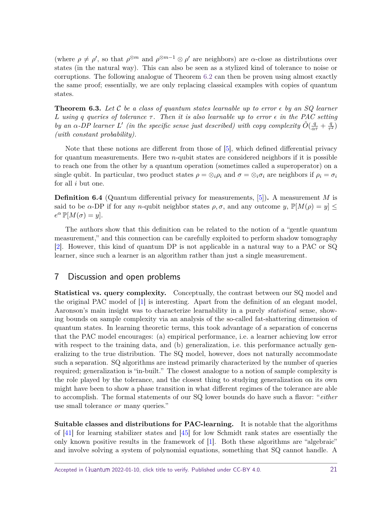<span id="page-20-0"></span>(where  $\rho \neq \rho'$ , so that  $\rho^{\otimes m}$  and  $\rho^{\otimes m-1} \otimes \rho'$  are neighbors) are  $\alpha$ -close as distributions over states (in the natural way). This can also be seen as a stylized kind of tolerance to noise or corruptions. The following analogue of Theorem [6.2](#page-19-0) can then be proven using almost exactly the same proof; essentially, we are only replacing classical examples with copies of quantum states.

**Theorem 6.3.** Let C be a class of quantum states learnable up to error  $\epsilon$  by an SQ learner *L using q queries of tolerance τ . Then it is also learnable up to error in the PAC setting by an*  $\alpha$ -DP learner L' (in the specific sense just described) with copy complexity  $\tilde{O}(\frac{q}{\alpha\tau}+\frac{q}{\tau^2})$  $\frac{q}{\tau^2})$ *(with constant probability).*

Note that these notions are different from those of [\[5\]](#page-22-16), which defined differential privacy for quantum measurements. Here two *n*-qubit states are considered neighbors if it is possible to reach one from the other by a quantum operation (sometimes called a superoperator) on a single qubit. In particular, two product states  $\rho = \otimes_i \rho_i$  and  $\sigma = \otimes_i \sigma_i$  are neighbors if  $\rho_i = \sigma_i$ for all *i* but one.

**Definition 6.4** (Quantum differential privacy for measurements, [\[5\]](#page-22-16))**.** A measurement *M* is said to be  $\alpha$ -DP if for any *n*-qubit neighbor states  $\rho$ ,  $\sigma$ , and any outcome  $y$ ,  $\mathbb{P}[M(\rho) = y] \leq$  $e^{\alpha} \mathbb{P}[M(\sigma) = y].$ 

The authors show that this definition can be related to the notion of a "gentle quantum measurement," and this connection can be carefully exploited to perform shadow tomography [\[2\]](#page-21-2). However, this kind of quantum DP is not applicable in a natural way to a PAC or SQ learner, since such a learner is an algorithm rather than just a single measurement.

# 7 Discussion and open problems

**Statistical vs. query complexity.** Conceptually, the contrast between our SQ model and the original PAC model of [\[1\]](#page-21-0) is interesting. Apart from the definition of an elegant model, Aaronson's main insight was to characterize learnability in a purely statistical sense, showing bounds on sample complexity via an analysis of the so-called fat-shattering dimension of quantum states. In learning theoretic terms, this took advantage of a separation of concerns that the PAC model encourages: (a) empirical performance, i.e. a learner achieving low error with respect to the training data, and (b) generalization, i.e. this performance actually generalizing to the true distribution. The SQ model, however, does not naturally accommodate such a separation. SQ algorithms are instead primarily characterized by the number of queries required; generalization is "in-built." The closest analogue to a notion of sample complexity is the role played by the tolerance, and the closest thing to studying generalization on its own might have been to show a phase transition in what different regimes of the tolerance are able to accomplish. The formal statements of our SQ lower bounds do have such a flavor: "either use small tolerance or many queries."

**Suitable classes and distributions for PAC-learning.** It is notable that the algorithms of [\[41\]](#page-24-0) for learning stabilizer states and [\[45\]](#page-24-4) for low Schmidt rank states are essentially the only known positive results in the framework of [\[1\]](#page-21-0). Both these algorithms are "algebraic" and involve solving a system of polynomial equations, something that SQ cannot handle. A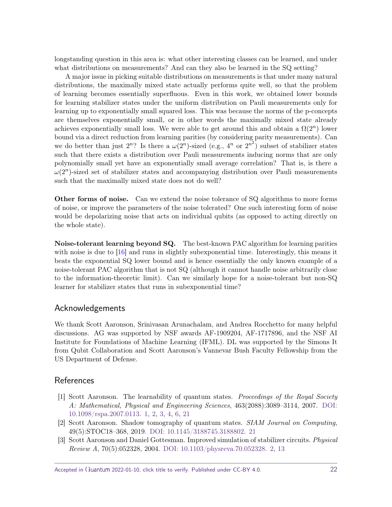<span id="page-21-3"></span>longstanding question in this area is: what other interesting classes can be learned, and under what distributions on measurements? And can they also be learned in the SQ setting?

A major issue in picking suitable distributions on measurements is that under many natural distributions, the maximally mixed state actually performs quite well, so that the problem of learning becomes essentially superfluous. Even in this work, we obtained lower bounds for learning stabilizer states under the uniform distribution on Pauli measurements only for learning up to exponentially small squared loss. This was because the norms of the p-concepts are themselves exponentially small, or in other words the maximally mixed state already achieves exponentially small loss. We were able to get around this and obtain a  $\Omega(2^n)$  lower bound via a direct reduction from learning parities (by considering parity measurements). Can we do better than just  $2^n$ ? Is there a  $\omega(2^n)$ -sized  $(e.g., 4^n \text{ or } 2^{n^2})$  subset of stabilizer states such that there exists a distribution over Pauli measurements inducing norms that are only polynomially small yet have an exponentially small average correlation? That is, is there a  $\omega(2^n)$ -sized set of stabilizer states and accompanying distribution over Pauli measurements such that the maximally mixed state does not do well?

**Other forms of noise.** Can we extend the noise tolerance of SQ algorithms to more forms of noise, or improve the parameters of the noise tolerated? One such interesting form of noise would be depolarizing noise that acts on individual qubits (as opposed to acting directly on the whole state).

**Noise-tolerant learning beyond SQ.** The best-known PAC algorithm for learning parities with noise is due to [\[16\]](#page-22-11) and runs in slightly subexponential time. Interestingly, this means it beats the exponential SQ lower bound and is hence essentially the only known example of a noise-tolerant PAC algorithm that is not SQ (although it cannot handle noise arbitrarily close to the information-theoretic limit). Can we similarly hope for a noise-tolerant but non-SQ learner for stabilizer states that runs in subexponential time?

# Acknowledgements

We thank Scott Aaronson, Srinivasan Arunachalam, and Andrea Rocchetto for many helpful discussions. AG was supported by NSF awards AF-1909204, AF-1717896, and the NSF AI Institute for Foundations of Machine Learning (IFML). DL was supported by the Simons It from Qubit Collaboration and Scott Aaronson's Vannevar Bush Faculty Fellowship from the US Department of Defense.

# **References**

- <span id="page-21-0"></span>[1] Scott Aaronson. The learnability of quantum states. Proceedings of the Royal Society A: Mathematical, Physical and Engineering Sciences, 463(2088):3089–3114, 2007. [DOI:](https://doi.org/10.1098/rspa.2007.0113) [10.1098/rspa.2007.0113.](https://doi.org/10.1098/rspa.2007.0113) [1,](#page-0-0) [2,](#page-1-1) [3,](#page-2-1) [4,](#page-3-0) [6,](#page-5-0) [21](#page-20-0)
- <span id="page-21-2"></span>[2] Scott Aaronson. Shadow tomography of quantum states. SIAM Journal on Computing, 49(5):STOC18–368, 2019. [DOI: 10.1145/3188745.3188802.](https://doi.org/10.1145/3188745.3188802) [21](#page-20-0)
- <span id="page-21-1"></span>[3] Scott Aaronson and Daniel Gottesman. Improved simulation of stabilizer circuits. Physical Review A, 70(5):052328, 2004. [DOI: 10.1103/physreva.70.052328.](https://doi.org/10.1103/physreva.70.052328) [2,](#page-1-1) [13](#page-12-2)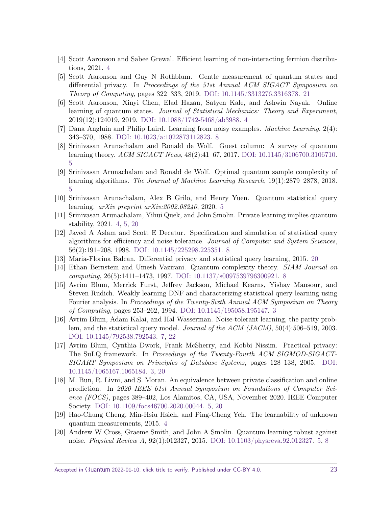- <span id="page-22-5"></span>[4] Scott Aaronson and Sabee Grewal. Efficient learning of non-interacting fermion distributions, 2021. [4](#page-3-0)
- <span id="page-22-16"></span>[5] Scott Aaronson and Guy N Rothblum. Gentle measurement of quantum states and differential privacy. In Proceedings of the 51st Annual ACM SIGACT Symposium on Theory of Computing, pages 322–333, 2019. [DOI: 10.1145/3313276.3316378.](https://doi.org/10.1145/3313276.3316378) [21](#page-20-0)
- <span id="page-22-3"></span>[6] Scott Aaronson, Xinyi Chen, Elad Hazan, Satyen Kale, and Ashwin Nayak. Online learning of quantum states. Journal of Statistical Mechanics: Theory and Experiment, 2019(12):124019, 2019. [DOI: 10.1088/1742-5468/ab3988.](https://doi.org/10.1088/1742-5468/ab3988) [4](#page-3-0)
- <span id="page-22-13"></span>[7] Dana Angluin and Philip Laird. Learning from noisy examples. Machine Learning, 2(4): 343–370, 1988. [DOI: 10.1023/a:1022873112823.](https://doi.org/10.1023/a:1022873112823) [8](#page-7-1)
- <span id="page-22-7"></span>[8] Srinivasan Arunachalam and Ronald de Wolf. Guest column: A survey of quantum learning theory. ACM SIGACT News, 48(2):41–67, 2017. [DOI: 10.1145/3106700.3106710.](https://doi.org/10.1145/3106700.3106710) [5](#page-4-1)
- <span id="page-22-8"></span>[9] Srinivasan Arunachalam and Ronald de Wolf. Optimal quantum sample complexity of learning algorithms. The Journal of Machine Learning Research, 19(1):2879–2878, 2018. [5](#page-4-1)
- <span id="page-22-9"></span>[10] Srinivasan Arunachalam, Alex B Grilo, and Henry Yuen. Quantum statistical query learning. arXiv preprint arXiv:2002.08240, 2020. [5](#page-4-1)
- <span id="page-22-2"></span>[11] Srinivasan Arunachalam, Yihui Quek, and John Smolin. Private learning implies quantum stability, 2021. [4,](#page-3-0) [5,](#page-4-1) [20](#page-19-1)
- <span id="page-22-14"></span>[12] Javed A Aslam and Scott E Decatur. Specification and simulation of statistical query algorithms for efficiency and noise tolerance. Journal of Computer and System Sciences, 56(2):191–208, 1998. [DOI: 10.1145/225298.225351.](https://doi.org/10.1145/225298.225351) [8](#page-7-1)
- <span id="page-22-15"></span>[13] Maria-Florina Balcan. Differential privacy and statistical query learning, 2015. [20](#page-19-1)
- <span id="page-22-12"></span>[14] Ethan Bernstein and Umesh Vazirani. Quantum complexity theory. SIAM Journal on computing, 26(5):1411–1473, 1997. [DOI: 10.1137/s0097539796300921.](https://doi.org/10.1137/s0097539796300921) [8](#page-7-1)
- <span id="page-22-0"></span>[15] Avrim Blum, Merrick Furst, Jeffrey Jackson, Michael Kearns, Yishay Mansour, and Steven Rudich. Weakly learning DNF and characterizing statistical query learning using Fourier analysis. In Proceedings of the Twenty-Sixth Annual ACM Symposium on Theory of Computing, pages 253–262, 1994. [DOI: 10.1145/195058.195147.](https://doi.org/10.1145/195058.195147) [3](#page-2-1)
- <span id="page-22-11"></span>[16] Avrim Blum, Adam Kalai, and Hal Wasserman. Noise-tolerant learning, the parity problem, and the statistical query model. Journal of the ACM (JACM), 50(4):506–519, 2003. [DOI: 10.1145/792538.792543.](https://doi.org/10.1145/792538.792543) [7,](#page-6-3) [22](#page-21-3)
- <span id="page-22-1"></span>[17] Avrim Blum, Cynthia Dwork, Frank McSherry, and Kobbi Nissim. Practical privacy: The SuLQ framework. In Proceedings of the Twenty-Fourth ACM SIGMOD-SIGACT-SIGART Symposium on Principles of Database Systems, pages 128–138, 2005. [DOI:](https://doi.org/10.1145/1065167.1065184) [10.1145/1065167.1065184.](https://doi.org/10.1145/1065167.1065184) [3,](#page-2-1) [20](#page-19-1)
- <span id="page-22-6"></span>[18] M. Bun, R. Livni, and S. Moran. An equivalence between private classification and online prediction. In 2020 IEEE 61st Annual Symposium on Foundations of Computer Science (FOCS), pages 389–402, Los Alamitos, CA, USA, November 2020. IEEE Computer Society. [DOI: 10.1109/focs46700.2020.00044.](https://doi.org/10.1109/focs46700.2020.00044) [5,](#page-4-1) [20](#page-19-1)
- <span id="page-22-4"></span>[19] Hao-Chung Cheng, Min-Hsiu Hsieh, and Ping-Cheng Yeh. The learnability of unknown quantum measurements, 2015. [4](#page-3-0)
- <span id="page-22-10"></span>[20] Andrew W Cross, Graeme Smith, and John A Smolin. Quantum learning robust against noise. Physical Review A, 92(1):012327, 2015. [DOI: 10.1103/physreva.92.012327.](https://doi.org/10.1103/physreva.92.012327) [5,](#page-4-1) [8](#page-7-1)

Accepted in  $\lambda$ uantum 2022-01-10, click title to verify. Published under CC-BY 4.0. 23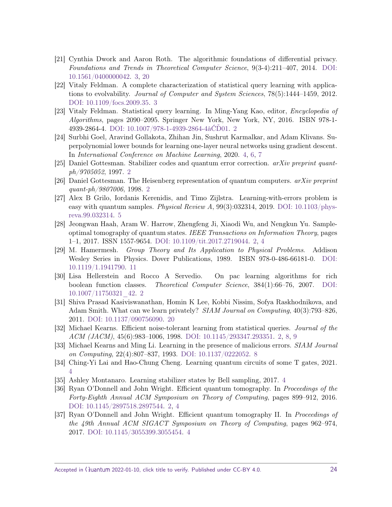- <span id="page-23-8"></span>[21] Cynthia Dwork and Aaron Roth. The algorithmic foundations of differential privacy. Foundations and Trends in Theoretical Computer Science, 9(3-4):211–407, 2014. [DOI:](https://doi.org/10.1561/0400000042) [10.1561/0400000042.](https://doi.org/10.1561/0400000042) [3,](#page-2-1) [20](#page-19-1)
- <span id="page-23-7"></span>[22] Vitaly Feldman. A complete characterization of statistical query learning with applications to evolvability. Journal of Computer and System Sciences, 78(5):1444–1459, 2012. [DOI: 10.1109/focs.2009.35.](https://doi.org/10.1109/focs.2009.35) [3](#page-2-1)
- <span id="page-23-5"></span>[23] Vitaly Feldman. Statistical query learning. In Ming-Yang Kao, editor, Encyclopedia of Algorithms, pages 2090–2095. Springer New York, New York, NY, 2016. ISBN 978-1- 4939-2864-4. [DOI: 10.1007/978-1-4939-2864-4âĆĎ01.](https://doi.org/10.1007/978-1-4939-2864-4₄01) [2](#page-1-1)
- <span id="page-23-9"></span>[24] Surbhi Goel, Aravind Gollakota, Zhihan Jin, Sushrut Karmalkar, and Adam Klivans. Superpolynomial lower bounds for learning one-layer neural networks using gradient descent. In International Conference on Machine Learning, 2020. [4,](#page-3-0) [6,](#page-5-0) [7](#page-6-3)
- <span id="page-23-3"></span>[25] Daniel Gottesman. Stabilizer codes and quantum error correction. arXiv preprint quantph/9705052, 1997. [2](#page-1-1)
- <span id="page-23-2"></span>[26] Daniel Gottesman. The Heisenberg representation of quantum computers.  $arXiv$  preprint quant-ph/9807006, 1998. [2](#page-1-1)
- <span id="page-23-13"></span>[27] Alex B Grilo, Iordanis Kerenidis, and Timo Zijlstra. Learning-with-errors problem is easy with quantum samples. *Physical Review A*,  $99(3):032314$ ,  $2019$ . DOI:  $10.1103/\text{phys}$ [reva.99.032314.](https://doi.org/10.1103/physreva.99.032314) [5](#page-4-1)
- <span id="page-23-0"></span>[28] Jeongwan Haah, Aram W. Harrow, Zhengfeng Ji, Xiaodi Wu, and Nengkun Yu. Sampleoptimal tomography of quantum states. IEEE Transactions on Information Theory, pages 1–1, 2017. ISSN 1557-9654. [DOI: 10.1109/tit.2017.2719044.](https://doi.org/10.1109/tit.2017.2719044) [2,](#page-1-1) [4](#page-3-0)
- <span id="page-23-15"></span>[29] M. Hamermesh. Group Theory and Its Application to Physical Problems. Addison Wesley Series in Physics. Dover Publications, 1989. ISBN 978-0-486-66181-0. [DOI:](https://doi.org/10.1119/1.1941790) [10.1119/1.1941790.](https://doi.org/10.1119/1.1941790) [11](#page-10-3)
- <span id="page-23-6"></span>[30] Lisa Hellerstein and Rocco A Servedio. On pac learning algorithms for rich boolean function classes. Theoretical Computer Science, 384(1):66–76, 2007. [DOI:](https://doi.org/10.1007/11750321_42) [10.1007/11750321\\_42.](https://doi.org/10.1007/11750321_42) [2](#page-1-1)
- <span id="page-23-16"></span>[31] Shiva Prasad Kasiviswanathan, Homin K Lee, Kobbi Nissim, Sofya Raskhodnikova, and Adam Smith. What can we learn privately? SIAM Journal on Computing, 40(3):793–826, 2011. [DOI: 10.1137/090756090.](https://doi.org/10.1137/090756090) [20](#page-19-1)
- <span id="page-23-4"></span>[32] Michael Kearns. Efficient noise-tolerant learning from statistical queries. Journal of the ACM (JACM), 45(6):983–1006, 1998. [DOI: 10.1145/293347.293351.](https://doi.org/10.1145/293347.293351) [2,](#page-1-1) [8,](#page-7-1) [9](#page-8-0)
- <span id="page-23-14"></span>[33] Michael Kearns and Ming Li. Learning in the presence of malicious errors. SIAM Journal on Computing, 22(4):807–837, 1993. [DOI: 10.1137/0222052.](https://doi.org/10.1137/0222052) [8](#page-7-1)
- <span id="page-23-12"></span>[34] Ching-Yi Lai and Hao-Chung Cheng. Learning quantum circuits of some T gates, 2021. [4](#page-3-0)
- <span id="page-23-11"></span>[35] Ashley Montanaro. Learning stabilizer states by Bell sampling, 2017. [4](#page-3-0)
- <span id="page-23-1"></span>[36] Ryan O'Donnell and John Wright. Efficient quantum tomography. In Proceedings of the Forty-Eighth Annual ACM Symposium on Theory of Computing, pages 899–912, 2016. [DOI: 10.1145/2897518.2897544.](https://doi.org/10.1145/2897518.2897544) [2,](#page-1-1) [4](#page-3-0)
- <span id="page-23-10"></span>[37] Ryan O'Donnell and John Wright. Efficient quantum tomography II. In Proceedings of the 49th Annual ACM SIGACT Symposium on Theory of Computing, pages 962–974, 2017. [DOI: 10.1145/3055399.3055454.](https://doi.org/10.1145/3055399.3055454) [4](#page-3-0)